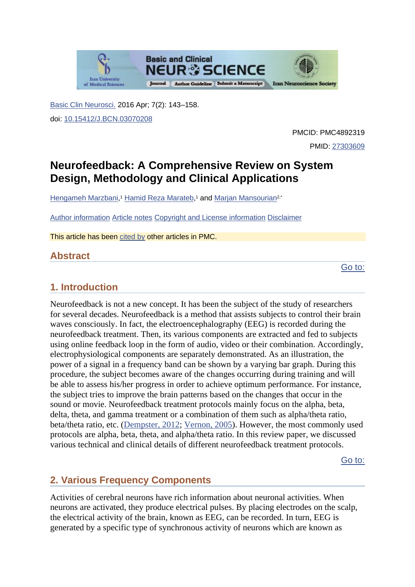

[Basic Clin Neurosci.](https://www.ncbi.nlm.nih.gov/pmc/articles/PMC4892319/) 2016 Apr; 7(2): 143–158. doi: [10.15412/J.BCN.03070208](https://dx.doi.org/10.15412%2FJ.BCN.03070208)

> PMCID: PMC4892319 PMID: [27303609](https://www.ncbi.nlm.nih.gov/pubmed/27303609)

# **Neurofeedback: A Comprehensive Review on System Design, Methodology and Clinical Applications**

[Hengameh Marzbani,](https://www.ncbi.nlm.nih.gov/pubmed/?term=Marzbani%20H%5BAuthor%5D&cauthor=true&cauthor_uid=27303609)<sup>1</sup> [Hamid Reza Marateb,](https://www.ncbi.nlm.nih.gov/pubmed/?term=Marateb%20HR%5BAuthor%5D&cauthor=true&cauthor_uid=27303609)<sup>1</sup> and [Marjan Mansourian](https://www.ncbi.nlm.nih.gov/pubmed/?term=Mansourian%20M%5BAuthor%5D&cauthor=true&cauthor_uid=27303609)<sup>2,\*</sup>

[Author information](https://www.ncbi.nlm.nih.gov/pmc/articles/PMC4892319/) [Article notes](https://www.ncbi.nlm.nih.gov/pmc/articles/PMC4892319/) [Copyright and License information](https://www.ncbi.nlm.nih.gov/pmc/articles/PMC4892319/) [Disclaimer](https://www.ncbi.nlm.nih.gov/pmc/about/disclaimer/)

This article has been [cited by](https://www.ncbi.nlm.nih.gov/pmc/articles/PMC4892319/citedby/) other articles in PMC.

# **Abstract**

[Go to:](https://www.ncbi.nlm.nih.gov/pmc/articles/PMC4892319/)

# **1. Introduction**

Neurofeedback is not a new concept. It has been the subject of the study of researchers for several decades. Neurofeedback is a method that assists subjects to control their brain waves consciously. In fact, the electroencephalography (EEG) is recorded during the neurofeedback treatment. Then, its various components are extracted and fed to subjects using online feedback loop in the form of audio, video or their combination. Accordingly, electrophysiological components are separately demonstrated. As an illustration, the power of a signal in a frequency band can be shown by a varying bar graph. During this procedure, the subject becomes aware of the changes occurring during training and will be able to assess his/her progress in order to achieve optimum performance. For instance, the subject tries to improve the brain patterns based on the changes that occur in the sound or movie. Neurofeedback treatment protocols mainly focus on the alpha, beta, delta, theta, and gamma treatment or a combination of them such as alpha/theta ratio, beta/theta ratio, etc. [\(Dempster, 2012;](https://www.ncbi.nlm.nih.gov/pmc/articles/PMC4892319/#B17) [Vernon, 2005\)](https://www.ncbi.nlm.nih.gov/pmc/articles/PMC4892319/#B88). However, the most commonly used protocols are alpha, beta, theta, and alpha/theta ratio. In this review paper, we discussed various technical and clinical details of different neurofeedback treatment protocols.

[Go to:](https://www.ncbi.nlm.nih.gov/pmc/articles/PMC4892319/)

# **2. Various Frequency Components**

Activities of cerebral neurons have rich information about neuronal activities. When neurons are activated, they produce electrical pulses. By placing electrodes on the scalp, the electrical activity of the brain, known as EEG, can be recorded. In turn, EEG is generated by a specific type of synchronous activity of neurons which are known as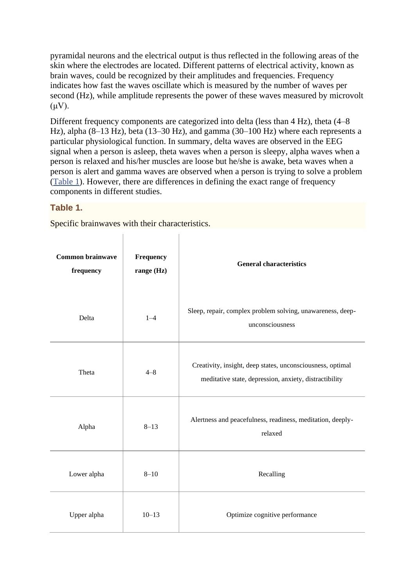pyramidal neurons and the electrical output is thus reflected in the following areas of the skin where the electrodes are located. Different patterns of electrical activity, known as brain waves, could be recognized by their amplitudes and frequencies. Frequency indicates how fast the waves oscillate which is measured by the number of waves per second (Hz), while amplitude represents the power of these waves measured by microvolt  $(\mu V)$ .

Different frequency components are categorized into delta (less than 4 Hz), theta (4–8 Hz), alpha (8–13 Hz), beta (13–30 Hz), and gamma (30–100 Hz) where each represents a particular physiological function. In summary, delta waves are observed in the EEG signal when a person is asleep, theta waves when a person is sleepy, alpha waves when a person is relaxed and his/her muscles are loose but he/she is awake, beta waves when a person is alert and gamma waves are observed when a person is trying to solve a problem [\(Table 1\)](https://www.ncbi.nlm.nih.gov/pmc/articles/PMC4892319/table/T1/). However, there are differences in defining the exact range of frequency components in different studies.

 $\mathbf{I}$ 

#### **Table 1.**

Specific brainwaves with their characteristics.

 $\mathbf{I}$ 

| Common brainwave<br>frequency | Frequency<br>range (Hz) | <b>General characteristics</b>                                                                                       |  |
|-------------------------------|-------------------------|----------------------------------------------------------------------------------------------------------------------|--|
| Delta                         | $1 - 4$                 | Sleep, repair, complex problem solving, unawareness, deep-<br>unconsciousness                                        |  |
| Theta                         | $4 - 8$                 | Creativity, insight, deep states, unconsciousness, optimal<br>meditative state, depression, anxiety, distractibility |  |
| Alpha                         | $8 - 13$                | Alertness and peacefulness, readiness, meditation, deeply-<br>relaxed                                                |  |
| Lower alpha                   | $8 - 10$                | Recalling                                                                                                            |  |
| Upper alpha                   | $10 - 13$               | Optimize cognitive performance                                                                                       |  |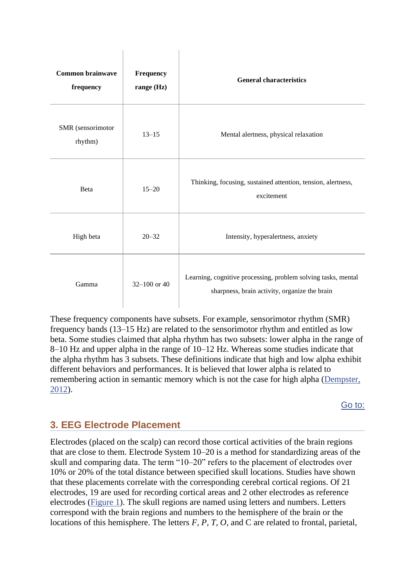| <b>Common brainwave</b><br>frequency | Frequency<br>range (Hz) | <b>General characteristics</b>                                                                                 |
|--------------------------------------|-------------------------|----------------------------------------------------------------------------------------------------------------|
| SMR (sensorimotor<br>rhythm)         | $13 - 15$               | Mental alertness, physical relaxation                                                                          |
| Beta                                 | $15 - 20$               | Thinking, focusing, sustained attention, tension, alertness,<br>excitement                                     |
| High beta                            | $20 - 32$               | Intensity, hyperalertness, anxiety                                                                             |
| Gamma                                | 32-100 or $40$          | Learning, cognitive processing, problem solving tasks, mental<br>sharpness, brain activity, organize the brain |

 $\overline{\phantom{a}}$ 

These frequency components have subsets. For example, sensorimotor rhythm (SMR) frequency bands (13–15 Hz) are related to the sensorimotor rhythm and entitled as low beta. Some studies claimed that alpha rhythm has two subsets: lower alpha in the range of 8–10 Hz and upper alpha in the range of 10–12 Hz. Whereas some studies indicate that the alpha rhythm has 3 subsets. These definitions indicate that high and low alpha exhibit different behaviors and performances. It is believed that lower alpha is related to remembering action in semantic memory which is not the case for high alpha [\(Dempster,](https://www.ncbi.nlm.nih.gov/pmc/articles/PMC4892319/#B17)  [2012\)](https://www.ncbi.nlm.nih.gov/pmc/articles/PMC4892319/#B17).

[Go to:](https://www.ncbi.nlm.nih.gov/pmc/articles/PMC4892319/)

# **3. EEG Electrode Placement**

 $\begin{array}{c} \hline \end{array}$ 

Electrodes (placed on the scalp) can record those cortical activities of the brain regions that are close to them. Electrode System 10–20 is a method for standardizing areas of the skull and comparing data. The term "10–20" refers to the placement of electrodes over 10% or 20% of the total distance between specified skull locations. Studies have shown that these placements correlate with the corresponding cerebral cortical regions. Of 21 electrodes, 19 are used for recording cortical areas and 2 other electrodes as reference electrodes [\(Figure 1\)](https://www.ncbi.nlm.nih.gov/pmc/articles/PMC4892319/figure/F1/). The skull regions are named using letters and numbers. Letters correspond with the brain regions and numbers to the hemisphere of the brain or the locations of this hemisphere. The letters *F, P, T, O*, and C are related to frontal, parietal,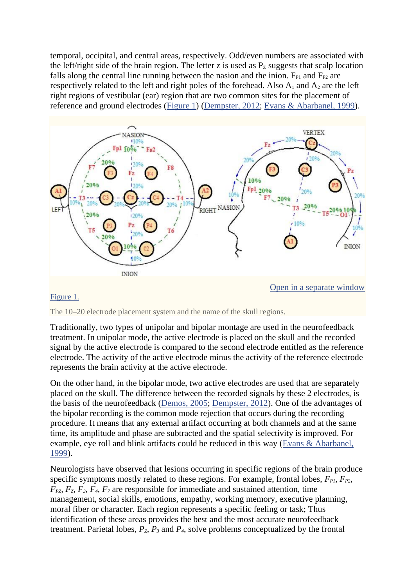temporal, occipital, and central areas, respectively. Odd/even numbers are associated with the left/right side of the brain region. The letter z is used as  $P<sub>Z</sub>$  suggests that scalp location falls along the central line running between the nasion and the inion.  $F_{P1}$  and  $F_{P2}$  are respectively related to the left and right poles of the forehead. Also  $A_1$  and  $A_2$  are the left right regions of vestibular (ear) region that are two common sites for the placement of reference and ground electrodes [\(Figure 1\)](https://www.ncbi.nlm.nih.gov/pmc/articles/PMC4892319/figure/F1/) [\(Dempster, 2012;](https://www.ncbi.nlm.nih.gov/pmc/articles/PMC4892319/#B17) [Evans & Abarbanel, 1999\)](https://www.ncbi.nlm.nih.gov/pmc/articles/PMC4892319/#B26).



#### [Figure 1.](https://www.ncbi.nlm.nih.gov/pmc/articles/PMC4892319/figure/F1/)

The 10–20 electrode placement system and the name of the skull regions.

Traditionally, two types of unipolar and bipolar montage are used in the neurofeedback treatment. In unipolar mode, the active electrode is placed on the skull and the recorded signal by the active electrode is compared to the second electrode entitled as the reference electrode. The activity of the active electrode minus the activity of the reference electrode represents the brain activity at the active electrode.

On the other hand, in the bipolar mode, two active electrodes are used that are separately placed on the skull. The difference between the recorded signals by these 2 electrodes, is the basis of the neurofeedback [\(Demos, 2005;](https://www.ncbi.nlm.nih.gov/pmc/articles/PMC4892319/#B16) [Dempster, 2012\)](https://www.ncbi.nlm.nih.gov/pmc/articles/PMC4892319/#B17). One of the advantages of the bipolar recording is the common mode rejection that occurs during the recording procedure. It means that any external artifact occurring at both channels and at the same time, its amplitude and phase are subtracted and the spatial selectivity is improved. For example, eye roll and blink artifacts could be reduced in this way [\(Evans & Abarbanel,](https://www.ncbi.nlm.nih.gov/pmc/articles/PMC4892319/#B26)  [1999\)](https://www.ncbi.nlm.nih.gov/pmc/articles/PMC4892319/#B26).

Neurologists have observed that lesions occurring in specific regions of the brain produce specific symptoms mostly related to these regions. For example, frontal lobes,  $F_{PL}$ ,  $F_{P2}$ , *FPZ, FZ, F3, F4, F<sup>7</sup>* are responsible for immediate and sustained attention, time management, social skills, emotions, empathy, working memory, executive planning, moral fiber or character. Each region represents a specific feeling or task; Thus identification of these areas provides the best and the most accurate neurofeedback treatment. Parietal lobes,  $P_z$ ,  $P_\lambda$  and  $P_\lambda$ , solve problems conceptualized by the frontal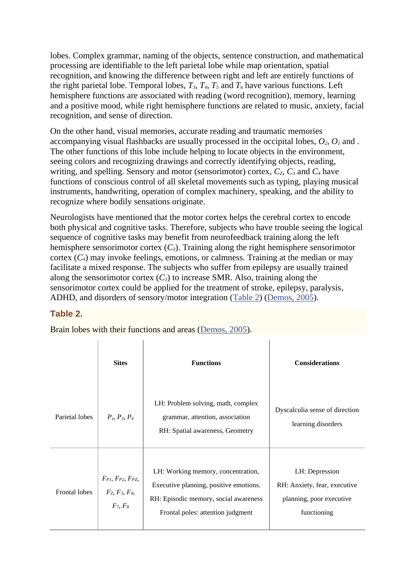lobes. Complex grammar, naming of the objects, sentence construction, and mathematical processing are identifiable to the left parietal lobe while map orientation, spatial recognition, and knowing the difference between right and left are entirely functions of the right parietal lobe. Temporal lobes,  $T_3$ ,  $T_4$ ,  $T_5$  and  $T_6$  have various functions. Left hemisphere functions are associated with reading (word recognition), memory, learning and a positive mood, while right hemisphere functions are related to music, anxiety, facial recognition, and sense of direction.

On the other hand, visual memories, accurate reading and traumatic memories accompanying visual flashbacks are usually processed in the occipital lobes,  $O_2$ ,  $O_1$  and. The other functions of this lobe include helping to locate objects in the environment, seeing colors and recognizing drawings and correctly identifying objects, reading, writing, and spelling. Sensory and motor (sensorimotor) cortex,  $C_z$ ,  $C_z$  and  $C_z$  have functions of conscious control of all skeletal movements such as typing, playing musical instruments, handwriting, operation of complex machinery, speaking, and the ability to recognize where bodily sensations originate.

Neurologists have mentioned that the motor cortex helps the cerebral cortex to encode both physical and cognitive tasks. Therefore, subjects who have trouble seeing the logical sequence of cognitive tasks may benefit from neurofeedback training along the left hemisphere sensorimotor cortex (*C3*). Training along the right hemisphere sensorimotor cortex  $(C_4)$  may invoke feelings, emotions, or calmness. Training at the median or may facilitate a mixed response. The subjects who suffer from epilepsy are usually trained along the sensorimotor cortex  $(C_3)$  to increase SMR. Also, training along the sensorimotor cortex could be applied for the treatment of stroke, epilepsy, paralysis, ADHD, and disorders of sensory/motor integration [\(Table 2\)](https://www.ncbi.nlm.nih.gov/pmc/articles/PMC4892319/table/T2/) [\(Demos, 2005\)](https://www.ncbi.nlm.nih.gov/pmc/articles/PMC4892319/#B16).

#### **Table 2.**

 $\mathbf{r}$ 

Brain lobes with their functions and areas [\(Demos, 2005\)](https://www.ncbi.nlm.nih.gov/pmc/articles/PMC4892319/#B16).

 $\mathbf{r}$ 

|                      | <b>Sites</b>                                                       | <b>Functions</b>                                                                                                                                           | <b>Considerations</b>                                                                     |
|----------------------|--------------------------------------------------------------------|------------------------------------------------------------------------------------------------------------------------------------------------------------|-------------------------------------------------------------------------------------------|
| Parietal lobes       | $P_7, P_3, P_4$                                                    | LH: Problem solving, math, complex<br>grammar, attention, association<br>RH: Spatial awareness, Geometry                                                   | Dyscalculia sense of direction<br>learning disorders                                      |
| <b>Frontal lobes</b> | $F_{PI}$ , $F_{P2}$ , $F_{PZ}$ ,<br>$F_Z, F_3, F_4,$<br>$F_7, F_8$ | LH: Working memory, concentration,<br>Executive planning, positive emotions.<br>RH: Episodic memory, social awareness<br>Frontal poles: attention judgment | LH: Depression<br>RH: Anxiety, fear, executive<br>planning, poor executive<br>functioning |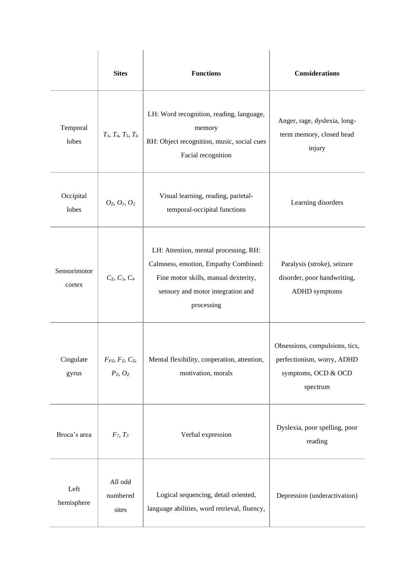|                        | <b>Sites</b>                                | <b>Functions</b>                                                                                                                                                         | <b>Considerations</b>                                                                           |
|------------------------|---------------------------------------------|--------------------------------------------------------------------------------------------------------------------------------------------------------------------------|-------------------------------------------------------------------------------------------------|
| Temporal<br>lobes      | $T_3$ , $T_4$ , $T_5$ , $T_6$               | LH: Word recognition, reading, language,<br>memory<br>RH: Object recognition, music, social cues<br>Facial recognition                                                   | Anger, rage, dyslexia, long-<br>term memory, closed head<br>injury                              |
| Occipital<br>lobes     | $O_{Z_1} O_{I_2} O_{Z_3}$                   | Visual learning, reading, parietal-<br>temporal-occipital functions                                                                                                      | Learning disorders                                                                              |
| Sensorimotor<br>cortex | $C_7, C_3, C_4$                             | LH: Attention, mental processing, RH:<br>Calmness, emotion, Empathy Combined:<br>Fine motor skills, manual dexterity,<br>sensory and motor integration and<br>processing | Paralysis (stroke), seizure<br>disorder, poor handwriting,<br>ADHD symptoms                     |
| Cingulate<br>gyrus     | $F_{PZ}$ , $F_Z$ , $C_Z$ ,<br>$P_Z$ , $O_Z$ | Mental flexibility, cooperation, attention,<br>motivation, morals                                                                                                        | Obsessions, compulsions, tics,<br>perfectionism, worry, ADHD<br>symptoms, OCD & OCD<br>spectrum |
| Broca's area           | $F_7, T_3$                                  | Verbal expression                                                                                                                                                        | Dyslexia, poor spelling, poor<br>reading                                                        |
| Left<br>hemisphere     | All odd<br>numbered<br>sites                | Logical sequencing, detail oriented,<br>language abilities, word retrieval, fluency,                                                                                     | Depression (underactivation)                                                                    |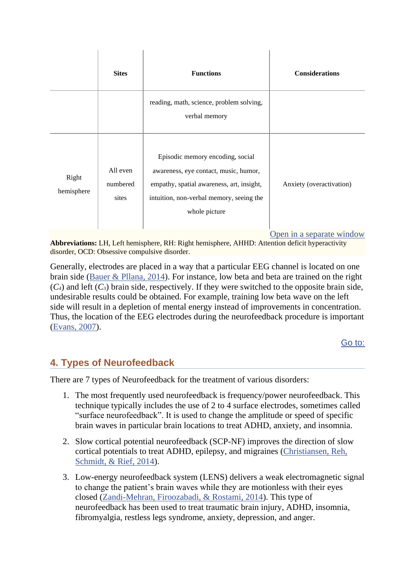|                     | <b>Sites</b>                  | <b>Functions</b>                                                                                                                                                                    | <b>Considerations</b>    |
|---------------------|-------------------------------|-------------------------------------------------------------------------------------------------------------------------------------------------------------------------------------|--------------------------|
|                     |                               | reading, math, science, problem solving,<br>verbal memory                                                                                                                           |                          |
| Right<br>hemisphere | All even<br>numbered<br>sites | Episodic memory encoding, social<br>awareness, eye contact, music, humor,<br>empathy, spatial awareness, art, insight,<br>intuition, non-verbal memory, seeing the<br>whole picture | Anxiety (overactivation) |

 $\overline{\phantom{a}}$ 

[Open in a separate window](https://www.ncbi.nlm.nih.gov/pmc/articles/PMC4892319/table/T2/?report=objectonly)

**Abbreviations:** LH, Left hemisphere, RH: Right hemisphere, AHHD: Attention deficit hyperactivity disorder, OCD: Obsessive compulsive disorder.

Generally, electrodes are placed in a way that a particular EEG channel is located on one brain side [\(Bauer & Pllana, 2014\)](https://www.ncbi.nlm.nih.gov/pmc/articles/PMC4892319/#B4). For instance, low beta and beta are trained on the right  $(C_4)$  and left  $(C_3)$  brain side, respectively. If they were switched to the opposite brain side, undesirable results could be obtained. For example, training low beta wave on the left side will result in a depletion of mental energy instead of improvements in concentration. Thus, the location of the EEG electrodes during the neurofeedback procedure is important [\(Evans, 2007\)](https://www.ncbi.nlm.nih.gov/pmc/articles/PMC4892319/#B25).

[Go to:](https://www.ncbi.nlm.nih.gov/pmc/articles/PMC4892319/)

# **4. Types of Neurofeedback**

 $\mathbf{L}$ 

 $\blacksquare$ 

There are 7 types of Neurofeedback for the treatment of various disorders:

- 1. The most frequently used neurofeedback is frequency/power neurofeedback. This technique typically includes the use of 2 to 4 surface electrodes, sometimes called "surface neurofeedback". It is used to change the amplitude or speed of specific brain waves in particular brain locations to treat ADHD, anxiety, and insomnia.
- 2. Slow cortical potential neurofeedback (SCP-NF) improves the direction of slow cortical potentials to treat ADHD, epilepsy, and migraines [\(Christiansen, Reh,](https://www.ncbi.nlm.nih.gov/pmc/articles/PMC4892319/#B9)  [Schmidt, & Rief, 2014\)](https://www.ncbi.nlm.nih.gov/pmc/articles/PMC4892319/#B9).
- 3. Low-energy neurofeedback system (LENS) delivers a weak electromagnetic signal to change the patient's brain waves while they are motionless with their eyes closed [\(Zandi-Mehran, Firoozabadi, & Rostami, 2014\)](https://www.ncbi.nlm.nih.gov/pmc/articles/PMC4892319/#B94). This type of neurofeedback has been used to treat traumatic brain injury, ADHD, insomnia, fibromyalgia, restless legs syndrome, anxiety, depression, and anger.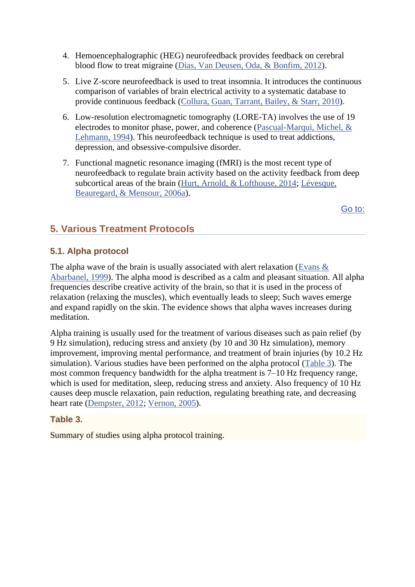- 4. Hemoencephalographic (HEG) neurofeedback provides feedback on cerebral blood flow to treat migraine [\(Dias, Van Deusen, Oda, & Bonfim, 2012\)](https://www.ncbi.nlm.nih.gov/pmc/articles/PMC4892319/#B18).
- 5. Live Z-score neurofeedback is used to treat insomnia. It introduces the continuous comparison of variables of brain electrical activity to a systematic database to provide continuous feedback [\(Collura, Guan, Tarrant, Bailey, & Starr, 2010\)](https://www.ncbi.nlm.nih.gov/pmc/articles/PMC4892319/#B12).
- 6. Low-resolution electromagnetic tomography (LORE-TA) involves the use of 19 electrodes to monitor phase, power, and coherence [\(Pascual-Marqui, Michel, &](https://www.ncbi.nlm.nih.gov/pmc/articles/PMC4892319/#B66)  [Lehmann, 1994\)](https://www.ncbi.nlm.nih.gov/pmc/articles/PMC4892319/#B66). This neurofeedback technique is used to treat addictions, depression, and obsessive-compulsive disorder.
- 7. Functional magnetic resonance imaging (fMRI) is the most recent type of neurofeedback to regulate brain activity based on the activity feedback from deep subcortical areas of the brain [\(Hurt, Arnold, & Lofthouse, 2014;](https://www.ncbi.nlm.nih.gov/pmc/articles/PMC4892319/#B39) [Lévesque,](https://www.ncbi.nlm.nih.gov/pmc/articles/PMC4892319/#B50)  [Beauregard, & Mensour, 2006a\)](https://www.ncbi.nlm.nih.gov/pmc/articles/PMC4892319/#B50).

[Go to:](https://www.ncbi.nlm.nih.gov/pmc/articles/PMC4892319/)

# **5. Various Treatment Protocols**

### **5.1. Alpha protocol**

The alpha wave of the brain is usually associated with alert relaxation [\(Evans &](https://www.ncbi.nlm.nih.gov/pmc/articles/PMC4892319/#B26)  [Abarbanel, 1999\)](https://www.ncbi.nlm.nih.gov/pmc/articles/PMC4892319/#B26). The alpha mood is described as a calm and pleasant situation. All alpha frequencies describe creative activity of the brain, so that it is used in the process of relaxation (relaxing the muscles), which eventually leads to sleep; Such waves emerge and expand rapidly on the skin. The evidence shows that alpha waves increases during meditation.

Alpha training is usually used for the treatment of various diseases such as pain relief (by 9 Hz simulation), reducing stress and anxiety (by 10 and 30 Hz simulation), memory improvement, improving mental performance, and treatment of brain injuries (by 10.2 Hz simulation). Various studies have been performed on the alpha protocol [\(Table 3\)](https://www.ncbi.nlm.nih.gov/pmc/articles/PMC4892319/table/T3/). The most common frequency bandwidth for the alpha treatment is 7–10 Hz frequency range, which is used for meditation, sleep, reducing stress and anxiety. Also frequency of 10 Hz causes deep muscle relaxation, pain reduction, regulating breathing rate, and decreasing heart rate [\(Dempster, 2012;](https://www.ncbi.nlm.nih.gov/pmc/articles/PMC4892319/#B17) [Vernon, 2005\)](https://www.ncbi.nlm.nih.gov/pmc/articles/PMC4892319/#B88).

#### **Table 3.**

Summary of studies using alpha protocol training.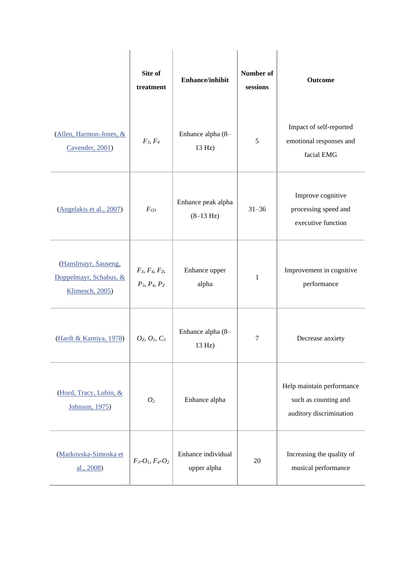|                                                                   | Site of<br>treatment               | <b>Enhance/inhibit</b>            | Number of<br>sessions | Outcome                                                                      |
|-------------------------------------------------------------------|------------------------------------|-----------------------------------|-----------------------|------------------------------------------------------------------------------|
| (Allen, Harmon-Jones, &<br>Cavender, 2001)                        | $F_3, F_4$                         | Enhance alpha (8-<br>13 Hz)       | 5                     | Impact of self-reported<br>emotional responses and<br>facial EMG             |
| (Angelakis et al., 2007)                                          | $F_{O3}$                           | Enhance peak alpha<br>$(8-13 Hz)$ | $31 - 36$             | Improve cognitive<br>processing speed and<br>executive function              |
| (Hanslmayr, Sauseng,<br>Doppelmayr, Schabus, &<br>Klimesch, 2005) | $F_3, F_4, F_5$<br>$P_3, P_4, P_Z$ | Enhance upper<br>alpha            | 1                     | Improvement in cognitive<br>performance                                      |
| (Hardt & Kamiya, 1978)                                            | $O_Z$ , $O_L$ , $C_3$              | Enhance alpha (8-<br>13 Hz)       | $\tau$                | Decrease anxiety                                                             |
| (Hord, Tracy, Lubin, &<br>Johnson, 1975)                          | O <sub>2</sub>                     | Enhance alpha                     |                       | Help maintain performance<br>such as counting and<br>auditory discrimination |
| (Markovska-Simoska et<br>al., 2008)                               | $F_3 - O_1, F_4 - O_2$             | Enhance individual<br>upper alpha | 20                    | Increasing the quality of<br>musical performance                             |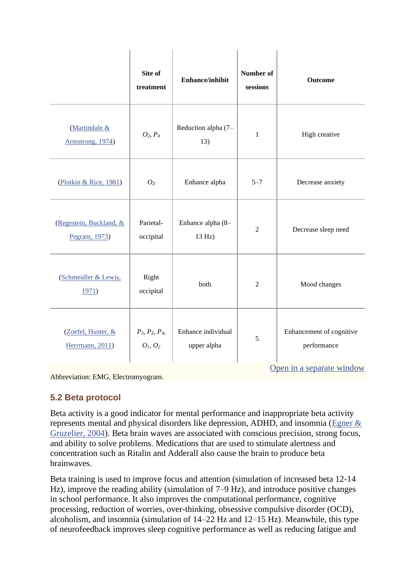|                                          | Site of<br>treatment                                | <b>Enhance/inhibit</b>            | Number of<br>sessions | <b>Outcome</b>                          |
|------------------------------------------|-----------------------------------------------------|-----------------------------------|-----------------------|-----------------------------------------|
| (Martindale &<br>Armstrong, 1974)        | $O_2, P_4$                                          | Reduction alpha (7-<br>13)        | $\mathbf{1}$          | High creative                           |
| (Plotkin & Rice, 1981)                   | $O_{Z}$                                             | Enhance alpha                     | $5 - 7$               | Decrease anxiety                        |
| (Regestein, Buckland, &<br>Pegram, 1973) | Parietal-<br>occipital                              | Enhance alpha (8-<br>13 Hz)       | $\overline{2}$        | Decrease sleep need                     |
| (Schmeidler & Lewis,<br>1971)            | Right<br>occipital                                  | both                              | $\overline{2}$        | Mood changes                            |
| (Zoefel, Huster, &<br>Herrmann, 2011)    | $P_3, P_2, P_4,$<br>O <sub>1</sub> , O <sub>2</sub> | Enhance individual<br>upper alpha | 5                     | Enhancement of cognitive<br>performance |
|                                          |                                                     |                                   |                       | Open in a separate window               |

Abbreviation: EMG, Electromyogram.

#### **5.2 Beta protocol**

Beta activity is a good indicator for mental performance and inappropriate beta activity represents mental and physical disorders like depression, ADHD, and insomnia [\(Egner &](https://www.ncbi.nlm.nih.gov/pmc/articles/PMC4892319/#B22)  [Gruzelier, 2004\)](https://www.ncbi.nlm.nih.gov/pmc/articles/PMC4892319/#B22). Beta brain waves are associated with conscious precision, strong focus, and ability to solve problems. Medications that are used to stimulate alertness and concentration such as Ritalin and Adderall also cause the brain to produce beta brainwaves.

Beta training is used to improve focus and attention (simulation of increased beta 12-14 Hz), improve the reading ability (simulation of 7–9 Hz), and introduce positive changes in school performance. It also improves the computational performance, cognitive processing, reduction of worries, over-thinking, obsessive compulsive disorder (OCD), alcoholism, and insomnia (simulation of 14–22 Hz and 12–15 Hz). Meanwhile, this type of neurofeedback improves sleep cognitive performance as well as reducing fatigue and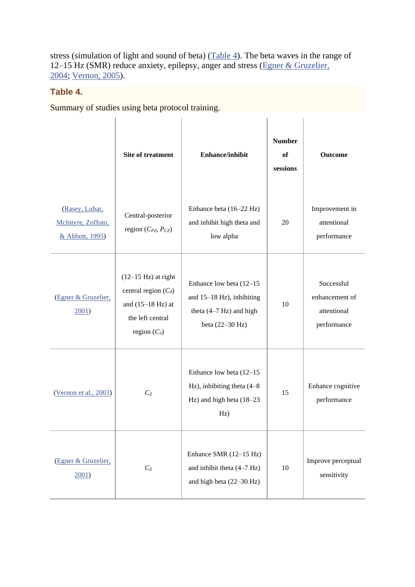stress (simulation of light and sound of beta)  $(Table 4)$ . The beta waves in the range of 12–15 Hz (SMR) reduce anxiety, epilepsy, anger and stress (Egner & Gruzelier, [2004;](https://www.ncbi.nlm.nih.gov/pmc/articles/PMC4892319/#B22) [Vernon, 2005\)](https://www.ncbi.nlm.nih.gov/pmc/articles/PMC4892319/#B88).

#### **Table 4.**

Summary of studies using beta protocol training.

|                                                         | <b>Site of treatment</b>                                                                                                     | <b>Enhance/inhibit</b>                                                                                  | <b>Number</b><br>of<br>sessions | <b>Outcome</b>                                             |
|---------------------------------------------------------|------------------------------------------------------------------------------------------------------------------------------|---------------------------------------------------------------------------------------------------------|---------------------------------|------------------------------------------------------------|
| (Rasey, Lubar,<br>McIntyre, Zoffuto,<br>& Abbott, 1995) | Central-posterior<br>region ( $C_{PZ}$ , $P_{CZ}$ )                                                                          | Enhance beta (16–22 Hz)<br>and inhibit high theta and<br>low alpha                                      | 20                              | Improvement in<br>attentional<br>performance               |
| (Egner & Gruzelier,<br>2001                             | $(12-15 \text{ Hz})$ at right<br>central region $(C_4)$<br>and $(15-18 \text{ Hz})$ at<br>the left central<br>region $(C_3)$ | Enhance low beta (12-15)<br>and $15-18$ Hz), inhibiting<br>theta $(4-7 Hz)$ and high<br>beta (22-30 Hz) | 10                              | Successful<br>enhancement of<br>attentional<br>performance |
| (Vernon et al., 2003)                                   | $C_{Z}$                                                                                                                      | Enhance low beta $(12-15)$<br>Hz), inhibiting theta $(4-8)$<br>Hz) and high beta (18-23<br>Hz)          | 15                              | Enhance cognitive<br>performance                           |
| (Egner & Gruzelier,<br>$2001$ )                         | $C_{Z}$                                                                                                                      | Enhance SMR (12-15 Hz)<br>and inhibit theta $(4-7 Hz)$<br>and high beta $(22-30 \text{ Hz})$            | $10\,$                          | Improve perceptual<br>sensitivity                          |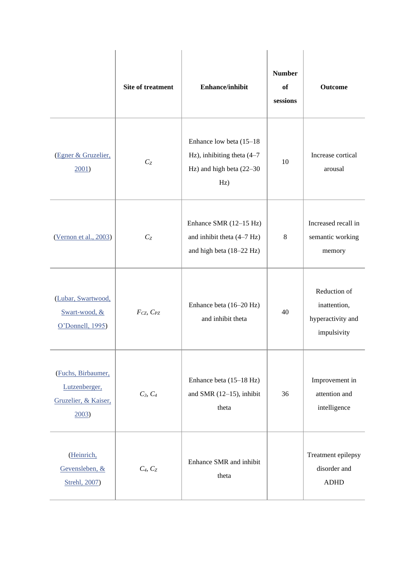|                                                                     | Site of treatment   | <b>Enhance/inhibit</b>                                                                       | <b>Number</b><br>of<br>sessions | <b>Outcome</b>                                                   |
|---------------------------------------------------------------------|---------------------|----------------------------------------------------------------------------------------------|---------------------------------|------------------------------------------------------------------|
| (Egner & Gruzelier,<br>2001                                         | $C_{Z}$             | Enhance low beta (15-18)<br>Hz), inhibiting theta (4-7<br>Hz) and high beta $(22-30)$<br>Hz) | 10                              | Increase cortical<br>arousal                                     |
| (Vernon et al., 2003)                                               | $C_{Z}$             | Enhance SMR (12-15 Hz)<br>and inhibit theta $(4-7 Hz)$<br>and high beta (18-22 Hz)           | 8                               | Increased recall in<br>semantic working<br>memory                |
| (Lubar, Swartwood,<br>Swart-wood, &<br>O'Donnell, 1995)             | $F_{CZ}$ , $C_{PZ}$ | Enhance beta (16-20 Hz)<br>and inhibit theta                                                 | 40                              | Reduction of<br>inattention,<br>hyperactivity and<br>impulsivity |
| (Fuchs, Birbaumer,<br>Lutzenberger,<br>Gruzelier, & Kaiser,<br>2003 | $C_3, C_4$          | Enhance beta (15-18 Hz)<br>and SMR $(12-15)$ , inhibit<br>theta                              | 36                              | Improvement in<br>attention and<br>intelligence                  |
| (Heinrich,<br>Gevensleben, &<br>Strehl, 2007)                       | $C_4, C_2$          | Enhance SMR and inhibit<br>theta                                                             |                                 | Treatment epilepsy<br>disorder and<br><b>ADHD</b>                |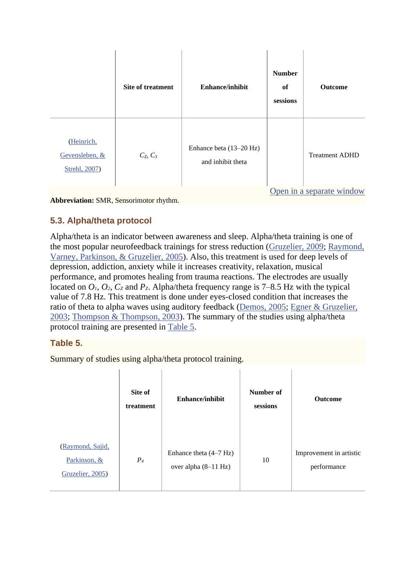|                                               | <b>Site of treatment</b> | <b>Enhance/inhibit</b>                       | <b>Number</b><br>of<br>sessions | <b>Outcome</b>            |
|-----------------------------------------------|--------------------------|----------------------------------------------|---------------------------------|---------------------------|
| (Heinrich,<br>Gevensleben, &<br>Strehl, 2007) | $C_{Z}$ , $C_{3}$        | Enhance beta (13-20 Hz)<br>and inhibit theta |                                 | <b>Treatment ADHD</b>     |
|                                               |                          |                                              |                                 | Open in a separate window |

**Abbreviation:** SMR, Sensorimotor rhythm.

# **5.3. Alpha/theta protocol**

Alpha/theta is an indicator between awareness and sleep. Alpha/theta training is one of the most popular neurofeedback trainings for stress reduction [\(Gruzelier, 2009;](https://www.ncbi.nlm.nih.gov/pmc/articles/PMC4892319/#B31) [Raymond,](https://www.ncbi.nlm.nih.gov/pmc/articles/PMC4892319/#B72)  [Varney, Parkinson, & Gruzelier, 2005\)](https://www.ncbi.nlm.nih.gov/pmc/articles/PMC4892319/#B72). Also, this treatment is used for deep levels of depression, addiction, anxiety while it increases creativity, relaxation, musical performance, and promotes healing from trauma reactions. The electrodes are usually located on  $O_1$ ,  $O_2$ ,  $C_z$  and  $P_z$ . Alpha/theta frequency range is 7–8.5 Hz with the typical value of 7.8 Hz. This treatment is done under eyes-closed condition that increases the ratio of theta to alpha waves using auditory feedback [\(Demos, 2005;](https://www.ncbi.nlm.nih.gov/pmc/articles/PMC4892319/#B16) [Egner & Gruzelier,](https://www.ncbi.nlm.nih.gov/pmc/articles/PMC4892319/#B21)  [2003;](https://www.ncbi.nlm.nih.gov/pmc/articles/PMC4892319/#B21) [Thompson & Thompson, 2003\)](https://www.ncbi.nlm.nih.gov/pmc/articles/PMC4892319/#B85). The summary of the studies using alpha/theta protocol training are presented in [Table 5.](https://www.ncbi.nlm.nih.gov/pmc/articles/PMC4892319/table/T5/)

#### **Table 5.**

Summary of studies using alpha/theta protocol training.

|                                                      | Site of<br>treatment | <b>Enhance/inhibit</b>                                     | Number of<br>sessions | <b>Outcome</b>                         |
|------------------------------------------------------|----------------------|------------------------------------------------------------|-----------------------|----------------------------------------|
| (Raymond, Sajid,<br>Parkinson, &<br>Gruzelier, 2005) | $P_4$                | Enhance theta $(4-7 Hz)$<br>over alpha $(8-11 \text{ Hz})$ | 10                    | Improvement in artistic<br>performance |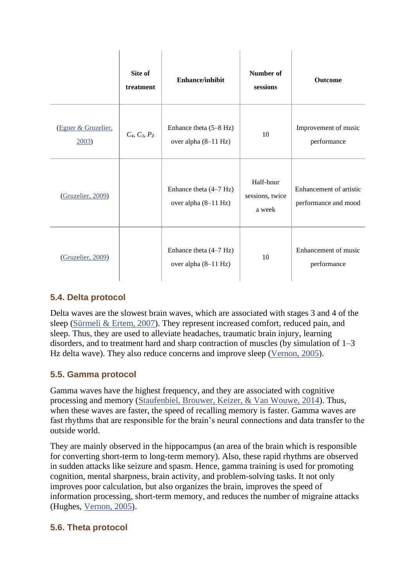|                             | Site of<br>treatment | Enhance/inhibit                                          | Number of<br>sessions                  | Outcome                                         |
|-----------------------------|----------------------|----------------------------------------------------------|----------------------------------------|-------------------------------------------------|
| (Egner & Gruzelier,<br>2003 | $C_4, C_3, P_Z$      | Enhance theta $(5-8 \text{ Hz})$<br>over alpha (8-11 Hz) | 10                                     | Improvement of music<br>performance             |
| (Gruzelier, 2009)           |                      | Enhance theta $(4-7 Hz)$<br>over alpha (8-11 Hz)         | Half-hour<br>sessions, twice<br>a week | Enhancement of artistic<br>performance and mood |
| (Gruzelier, 2009)           |                      | Enhance theta $(4-7 Hz)$<br>over alpha (8-11 Hz)         | 10                                     | Enhancement of music<br>performance             |

# **5.4. Delta protocol**

Delta waves are the slowest brain waves, which are associated with stages 3 and 4 of the sleep [\(Sürmeli & Ertem, 2007\)](https://www.ncbi.nlm.nih.gov/pmc/articles/PMC4892319/#B81). They represent increased comfort, reduced pain, and sleep. Thus, they are used to alleviate headaches, traumatic brain injury, learning disorders, and to treatment hard and sharp contraction of muscles (by simulation of 1–3 Hz delta wave). They also reduce concerns and improve sleep [\(Vernon, 2005\)](https://www.ncbi.nlm.nih.gov/pmc/articles/PMC4892319/#B88).

# **5.5. Gamma protocol**

Gamma waves have the highest frequency, and they are associated with cognitive processing and memory [\(Staufenbiel, Brouwer, Keizer, & Van Wouwe, 2014\)](https://www.ncbi.nlm.nih.gov/pmc/articles/PMC4892319/#B78). Thus, when these waves are faster, the speed of recalling memory is faster. Gamma waves are fast rhythms that are responsible for the brain's neural connections and data transfer to the outside world.

They are mainly observed in the hippocampus (an area of the brain which is responsible for converting short-term to long-term memory). Also, these rapid rhythms are observed in sudden attacks like seizure and spasm. Hence, gamma training is used for promoting cognition, mental sharpness, brain activity, and problem-solving tasks. It not only improves poor calculation, but also organizes the brain, improves the speed of information processing, short-term memory, and reduces the number of migraine attacks (Hughes, [Vernon, 2005\)](https://www.ncbi.nlm.nih.gov/pmc/articles/PMC4892319/#B88).

# **5.6. Theta protocol**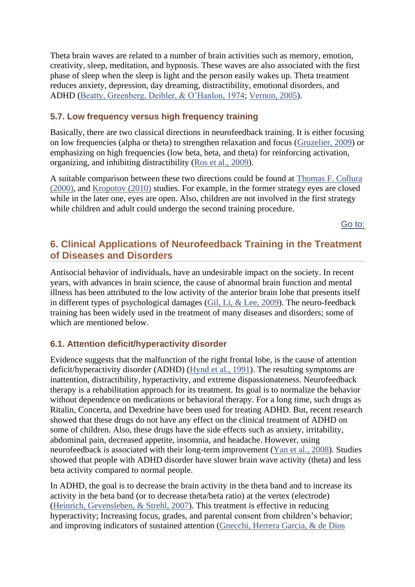Theta brain waves are related to a number of brain activities such as memory, emotion, creativity, sleep, meditation, and hypnosis. These waves are also associated with the first phase of sleep when the sleep is light and the person easily wakes up. Theta treatment reduces anxiety, depression, day dreaming, distractibility, emotional disorders, and ADHD [\(Beatty, Greenberg, Deibler, & O'Hanlon, 1974;](https://www.ncbi.nlm.nih.gov/pmc/articles/PMC4892319/#B5) [Vernon, 2005\)](https://www.ncbi.nlm.nih.gov/pmc/articles/PMC4892319/#B88).

#### **5.7. Low frequency versus high frequency training**

Basically, there are two classical directions in neurofeedback training. It is either focusing on low frequencies (alpha or theta) to strengthen relaxation and focus [\(Gruzelier, 2009\)](https://www.ncbi.nlm.nih.gov/pmc/articles/PMC4892319/#B31) or emphasizing on high frequencies (low beta, beta, and theta) for reinforcing activation, organizing, and inhibiting distractibility [\(Ros et al., 2009\)](https://www.ncbi.nlm.nih.gov/pmc/articles/PMC4892319/#B74).

A suitable comparison between these two directions could be found at [Thomas F. Collura](https://www.ncbi.nlm.nih.gov/pmc/articles/PMC4892319/#B11)  [\(2000\),](https://www.ncbi.nlm.nih.gov/pmc/articles/PMC4892319/#B11) and [Kropotov \(2010\)](https://www.ncbi.nlm.nih.gov/pmc/articles/PMC4892319/#B46) studies. For example, in the former strategy eyes are closed while in the later one, eyes are open. Also, children are not involved in the first strategy while children and adult could undergo the second training procedure.

[Go to:](https://www.ncbi.nlm.nih.gov/pmc/articles/PMC4892319/)

# **6. Clinical Applications of Neurofeedback Training in the Treatment of Diseases and Disorders**

Antisocial behavior of individuals, have an undesirable impact on the society. In recent years, with advances in brain science, the cause of abnormal brain function and mental illness has been attributed to the low activity of the anterior brain lobe that presents itself in different types of psychological damages [\(Gil, Li, & Lee, 2009\)](https://www.ncbi.nlm.nih.gov/pmc/articles/PMC4892319/#B29). The neuro-feedback training has been widely used in the treatment of many diseases and disorders; some of which are mentioned below.

#### **6.1. Attention deficit/hyperactivity disorder**

Evidence suggests that the malfunction of the right frontal lobe, is the cause of attention deficit/hyperactivity disorder (ADHD) [\(Hynd et al., 1991\)](https://www.ncbi.nlm.nih.gov/pmc/articles/PMC4892319/#B40). The resulting symptoms are inattention, distractibility, hyperactivity, and extreme dispassionateness. Neurofeedback therapy is a rehabilitation approach for its treatment. Its goal is to normalize the behavior without dependence on medications or behavioral therapy. For a long time, such drugs as Ritalin, Concerta, and Dexedrine have been used for treating ADHD. But, recent research showed that these drugs do not have any effect on the clinical treatment of ADHD on some of children. Also, these drugs have the side effects such as anxiety, irritability, abdominal pain, decreased appetite, insomnia, and headache. However, using neurofeedback is associated with their long-term improvement [\(Yan et al., 2008\)](https://www.ncbi.nlm.nih.gov/pmc/articles/PMC4892319/#B93). Studies showed that people with ADHD disorder have slower brain wave activity (theta) and less beta activity compared to normal people.

In ADHD, the goal is to decrease the brain activity in the theta band and to increase its activity in the beta band (or to decrease theta/beta ratio) at the vertex (electrode) [\(Heinrich, Gevensleben, & Strehl, 2007\)](https://www.ncbi.nlm.nih.gov/pmc/articles/PMC4892319/#B35). This treatment is effective in reducing hyperactivity; Increasing focus, grades, and parental consent from children's behavior; and improving indicators of sustained attention [\(Gnecchi, Herrera Garcia, & de Dios](https://www.ncbi.nlm.nih.gov/pmc/articles/PMC4892319/#B30)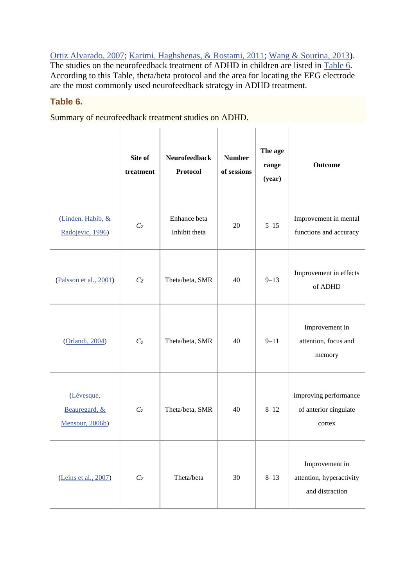[Ortiz Alvarado, 2007;](https://www.ncbi.nlm.nih.gov/pmc/articles/PMC4892319/#B30) [Karimi, Haghshenas, & Rostami, 2011;](https://www.ncbi.nlm.nih.gov/pmc/articles/PMC4892319/#B43) [Wang & Sourina, 2013\)](https://www.ncbi.nlm.nih.gov/pmc/articles/PMC4892319/#B91). The studies on the neurofeedback treatment of ADHD in children are listed in [Table 6.](https://www.ncbi.nlm.nih.gov/pmc/articles/PMC4892319/table/T6/) According to this Table, theta/beta protocol and the area for locating the EEG electrode are the most commonly used neurofeedback strategy in ADHD treatment.

#### **Table 6.**

Summary of neurofeedback treatment studies on ADHD.

|                                                | Site of<br>treatment      | <b>Neurofeedback</b><br>Protocol | <b>Number</b><br>of sessions | The age<br>range<br>(year) | Outcome                                                       |
|------------------------------------------------|---------------------------|----------------------------------|------------------------------|----------------------------|---------------------------------------------------------------|
| (Linden, Habib, &<br>Radojevic, 1996)          | $C_{Z}$                   | Enhance beta<br>Inhibit theta    | 20                           | $5 - 15$                   | Improvement in mental<br>functions and accuracy               |
| (Palsson et al., 2001)                         | $C_{Z}$                   | Theta/beta, SMR                  | 40                           | $9 - 13$                   | Improvement in effects<br>of ADHD                             |
| (Orlandi, 2004)                                | $C_{Z}$                   | Theta/beta, SMR                  | 40                           | $9 - 11$                   | Improvement in<br>attention, focus and<br>memory              |
| (Lévesque,<br>Beauregard, &<br>Mensour, 2006b) | $C_{Z}$                   | Theta/beta, SMR                  | 40                           | $8 - 12$                   | Improving performance<br>of anterior cingulate<br>cortex      |
| (Leins et al., 2007)                           | $\mathbb{C}_{\mathbb{Z}}$ | Theta/beta                       | 30                           | $8 - 13$                   | Improvement in<br>attention, hyperactivity<br>and distraction |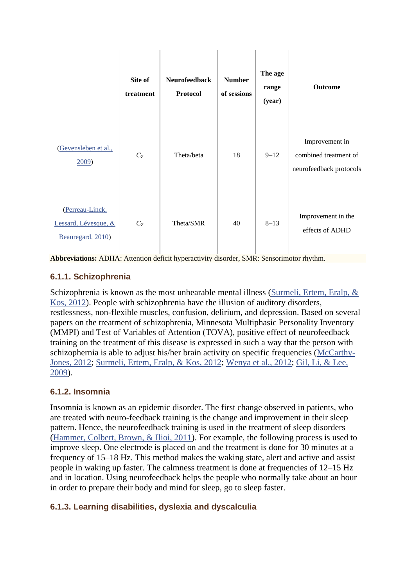|                                                              | Site of<br>treatment | <b>Neurofeedback</b><br>Protocol | <b>Number</b><br>of sessions | The age<br>range<br>(year) | <b>Outcome</b>                                                     |
|--------------------------------------------------------------|----------------------|----------------------------------|------------------------------|----------------------------|--------------------------------------------------------------------|
| (Gevensleben et al.,<br>2009                                 | $C_{Z}$              | Theta/beta                       | 18                           | $9 - 12$                   | Improvement in<br>combined treatment of<br>neurofeedback protocols |
| (Perreau-Linck,<br>Lessard, Lévesque, &<br>Beauregard, 2010) | $C_{Z}$              | Theta/SMR                        | 40                           | $8 - 13$                   | Improvement in the<br>effects of ADHD                              |

**Abbreviations:** ADHA: Attention deficit hyperactivity disorder, SMR: Sensorimotor rhythm.

### **6.1.1. Schizophrenia**

Schizophrenia is known as the most unbearable mental illness [\(Surmeli, Ertem, Eralp, &](https://www.ncbi.nlm.nih.gov/pmc/articles/PMC4892319/#B83)  [Kos, 2012\)](https://www.ncbi.nlm.nih.gov/pmc/articles/PMC4892319/#B83). People with schizophrenia have the illusion of auditory disorders, restlessness, non-flexible muscles, confusion, delirium, and depression. Based on several papers on the treatment of schizophrenia, Minnesota Multiphasic Personality Inventory (MMPI) and Test of Variables of Attention (TOVA), positive effect of neurofeedback training on the treatment of this disease is expressed in such a way that the person with schizophernia is able to adjust his/her brain activity on specific frequencies [\(McCarthy-](https://www.ncbi.nlm.nih.gov/pmc/articles/PMC4892319/#B60)[Jones, 2012;](https://www.ncbi.nlm.nih.gov/pmc/articles/PMC4892319/#B60) [Surmeli, Ertem, Eralp, & Kos, 2012;](https://www.ncbi.nlm.nih.gov/pmc/articles/PMC4892319/#B83) [Wenya et al., 2012;](https://www.ncbi.nlm.nih.gov/pmc/articles/PMC4892319/#B92) [Gil, Li, & Lee,](https://www.ncbi.nlm.nih.gov/pmc/articles/PMC4892319/#B29)  [2009\)](https://www.ncbi.nlm.nih.gov/pmc/articles/PMC4892319/#B29).

#### **6.1.2. Insomnia**

Insomnia is known as an epidemic disorder. The first change observed in patients, who are treated with neuro-feedback training is the change and improvement in their sleep pattern. Hence, the neurofeedback training is used in the treatment of sleep disorders [\(Hammer, Colbert, Brown, & Ilioi, 2011\)](https://www.ncbi.nlm.nih.gov/pmc/articles/PMC4892319/#B32). For example, the following process is used to improve sleep. One electrode is placed on and the treatment is done for 30 minutes at a frequency of 15–18 Hz. This method makes the waking state, alert and active and assist people in waking up faster. The calmness treatment is done at frequencies of 12–15 Hz and in location. Using neurofeedback helps the people who normally take about an hour in order to prepare their body and mind for sleep, go to sleep faster.

# **6.1.3. Learning disabilities, dyslexia and dyscalculia**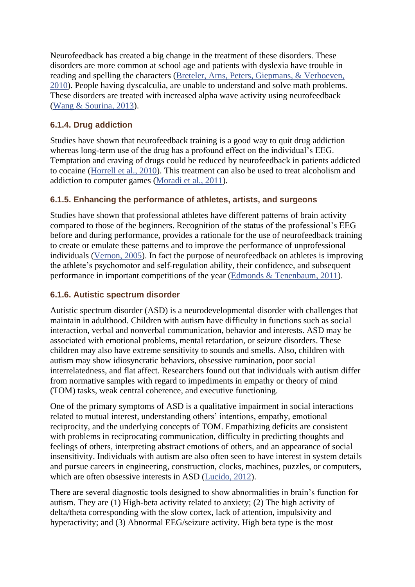Neurofeedback has created a big change in the treatment of these disorders. These disorders are more common at school age and patients with dyslexia have trouble in reading and spelling the characters [\(Breteler, Arns, Peters, Giepmans, & Verhoeven,](https://www.ncbi.nlm.nih.gov/pmc/articles/PMC4892319/#B6)  [2010\)](https://www.ncbi.nlm.nih.gov/pmc/articles/PMC4892319/#B6). People having dyscalculia, are unable to understand and solve math problems. These disorders are treated with increased alpha wave activity using neurofeedback [\(Wang & Sourina, 2013\)](https://www.ncbi.nlm.nih.gov/pmc/articles/PMC4892319/#B91).

#### **6.1.4. Drug addiction**

Studies have shown that neurofeedback training is a good way to quit drug addiction whereas long-term use of the drug has a profound effect on the individual's EEG. Temptation and craving of drugs could be reduced by neurofeedback in patients addicted to cocaine [\(Horrell et al., 2010\)](https://www.ncbi.nlm.nih.gov/pmc/articles/PMC4892319/#B37). This treatment can also be used to treat alcoholism and addiction to computer games [\(Moradi et al., 2011\)](https://www.ncbi.nlm.nih.gov/pmc/articles/PMC4892319/#B62).

#### **6.1.5. Enhancing the performance of athletes, artists, and surgeons**

Studies have shown that professional athletes have different patterns of brain activity compared to those of the beginners. Recognition of the status of the professional's EEG before and during performance, provides a rationale for the use of neurofeedback training to create or emulate these patterns and to improve the performance of unprofessional individuals [\(Vernon, 2005\)](https://www.ncbi.nlm.nih.gov/pmc/articles/PMC4892319/#B88). In fact the purpose of neurofeedback on athletes is improving the athlete's psychomotor and self-regulation ability, their confidence, and subsequent performance in important competitions of the year [\(Edmonds & Tenenbaum, 2011\)](https://www.ncbi.nlm.nih.gov/pmc/articles/PMC4892319/#B19).

#### **6.1.6. Autistic spectrum disorder**

Autistic spectrum disorder (ASD) is a neurodevelopmental disorder with challenges that maintain in adulthood. Children with autism have difficulty in functions such as social interaction, verbal and nonverbal communication, behavior and interests. ASD may be associated with emotional problems, mental retardation, or seizure disorders. These children may also have extreme sensitivity to sounds and smells. Also, children with autism may show idiosyncratic behaviors, obsessive rumination, poor social interrelatedness, and flat affect. Researchers found out that individuals with autism differ from normative samples with regard to impediments in empathy or theory of mind (TOM) tasks, weak central coherence, and executive functioning.

One of the primary symptoms of ASD is a qualitative impairment in social interactions related to mutual interest, understanding others' intentions, empathy, emotional reciprocity, and the underlying concepts of TOM. Empathizing deficits are consistent with problems in reciprocating communication, difficulty in predicting thoughts and feelings of others, interpreting abstract emotions of others, and an appearance of social insensitivity. Individuals with autism are also often seen to have interest in system details and pursue careers in engineering, construction, clocks, machines, puzzles, or computers, which are often obsessive interests in ASD [\(Lucido, 2012\)](https://www.ncbi.nlm.nih.gov/pmc/articles/PMC4892319/#B56).

There are several diagnostic tools designed to show abnormalities in brain's function for autism. They are (1) High-beta activity related to anxiety; (2) The high activity of delta/theta corresponding with the slow cortex, lack of attention, impulsivity and hyperactivity; and (3) Abnormal EEG/seizure activity. High beta type is the most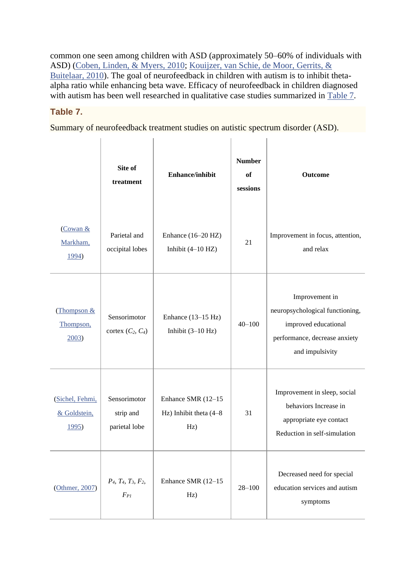common one seen among children with ASD (approximately 50–60% of individuals with ASD) [\(Coben, Linden, & Myers, 2010;](https://www.ncbi.nlm.nih.gov/pmc/articles/PMC4892319/#B10) [Kouijzer, van Schie, de Moor, Gerrits, &](https://www.ncbi.nlm.nih.gov/pmc/articles/PMC4892319/#B45)  [Buitelaar, 2010\)](https://www.ncbi.nlm.nih.gov/pmc/articles/PMC4892319/#B45). The goal of neurofeedback in children with autism is to inhibit thetaalpha ratio while enhancing beta wave. Efficacy of neurofeedback in children diagnosed with autism has been well researched in qualitative case studies summarized in [Table 7.](https://www.ncbi.nlm.nih.gov/pmc/articles/PMC4892319/table/T7/)

### **Table 7.**

Summary of neurofeedback treatment studies on autistic spectrum disorder (ASD).

|                                          | Site of<br>treatment                                   | <b>Enhance/inhibit</b>                                 | <b>Number</b><br>of<br>sessions | Outcome                                                                                                                       |
|------------------------------------------|--------------------------------------------------------|--------------------------------------------------------|---------------------------------|-------------------------------------------------------------------------------------------------------------------------------|
| (Cowan &<br>Markham,<br>1994)            | Parietal and<br>occipital lobes                        | Enhance (16-20 HZ)<br>Inhibit $(4-10 Hz)$              | 21                              | Improvement in focus, attention,<br>and relax                                                                                 |
| (Thompson $&$<br>Thompson,<br>2003       | Sensorimotor<br>cortex $(C_2, C_4)$                    | Enhance (13-15 Hz)<br>Inhibit $(3-10 Hz)$              | $40 - 100$                      | Improvement in<br>neuropsychological functioning,<br>improved educational<br>performance, decrease anxiety<br>and impulsivity |
| (Sichel, Fehmi,<br>& Goldstein,<br>1995) | Sensorimotor<br>strip and<br>parietal lobe             | Enhance SMR (12-15<br>Hz) Inhibit theta $(4-8)$<br>Hz) | 31                              | Improvement in sleep, social<br>behaviors Increase in<br>appropriate eye contact<br>Reduction in self-simulation              |
| (Othmer, 2007)                           | $P_4$ , $T_4$ , $T_3$ , $F_2$ ,<br>$F_{\mathfrak{P}1}$ | Enhance SMR (12-15<br>Hz)                              | $28 - 100$                      | Decreased need for special<br>education services and autism<br>symptoms                                                       |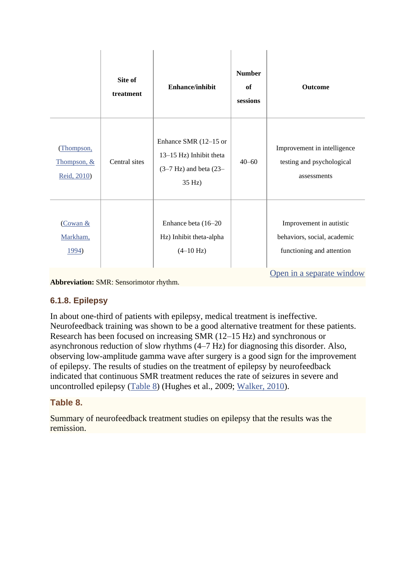|                                         | Site of<br>treatment | <b>Enhance/inhibit</b>                                                                   | <b>Number</b><br>of<br>sessions | <b>Outcome</b>                                                                                                   |
|-----------------------------------------|----------------------|------------------------------------------------------------------------------------------|---------------------------------|------------------------------------------------------------------------------------------------------------------|
| Thompson,<br>Thompson, &<br>Reid, 2010) | Central sites        | Enhance SMR (12-15 or<br>13–15 Hz) Inhibit theta<br>$(3-7 Hz)$ and beta $(23-$<br>35 Hz) | $40 - 60$                       | Improvement in intelligence<br>testing and psychological<br>assessments                                          |
| (Cowan &<br>Markham,<br>1994)           |                      | Enhance beta (16-20<br>Hz) Inhibit theta-alpha<br>$(4-10 Hz)$                            |                                 | Improvement in autistic<br>behaviors, social, academic<br>functioning and attention<br>Open in a separate window |

**Abbreviation:** SMR: Sensorimotor rhythm.

#### **6.1.8. Epilepsy**

In about one-third of patients with epilepsy, medical treatment is ineffective. Neurofeedback training was shown to be a good alternative treatment for these patients. Research has been focused on increasing SMR (12–15 Hz) and synchronous or asynchronous reduction of slow rhythms (4–7 Hz) for diagnosing this disorder. Also, observing low-amplitude gamma wave after surgery is a good sign for the improvement of epilepsy. The results of studies on the treatment of epilepsy by neurofeedback indicated that continuous SMR treatment reduces the rate of seizures in severe and uncontrolled epilepsy [\(Table 8\)](https://www.ncbi.nlm.nih.gov/pmc/articles/PMC4892319/table/T8/) (Hughes et al., 2009; [Walker, 2010\)](https://www.ncbi.nlm.nih.gov/pmc/articles/PMC4892319/#B89).

#### **Table 8.**

Summary of neurofeedback treatment studies on epilepsy that the results was the remission.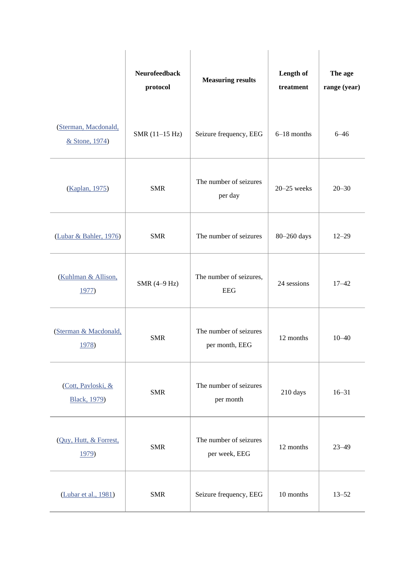|                                            | <b>Neurofeedback</b><br>protocol | <b>Measuring results</b>                 | Length of<br>treatment | The age<br>range (year) |
|--------------------------------------------|----------------------------------|------------------------------------------|------------------------|-------------------------|
| (Sterman, Macdonald,<br>& Stone, 1974)     | SMR (11-15 Hz)                   | Seizure frequency, EEG                   | $6-18$ months          | $6 - 46$                |
| (Kaplan, 1975)                             | <b>SMR</b>                       | The number of seizures<br>per day        | $20 - 25$ weeks        | $20 - 30$               |
| (Lubar & Bahler, 1976)                     | <b>SMR</b>                       | The number of seizures                   | 80-260 days            | $12 - 29$               |
| (Kuhlman & Allison,<br>1977)               | SMR (4-9 Hz)                     | The number of seizures,<br><b>EEG</b>    | 24 sessions            | $17 - 42$               |
| (Sterman & Macdonald,<br>1978)             | <b>SMR</b>                       | The number of seizures<br>per month, EEG | 12 months              | $10 - 40$               |
| (Cott, Pavloski, &<br><b>Black</b> , 1979) | <b>SMR</b>                       | The number of seizures<br>per month      | 210 days               | $16 - 31$               |
| (Quy, Hutt, & Forrest,<br>1979)            | <b>SMR</b>                       | The number of seizures<br>per week, EEG  | 12 months              | $23 - 49$               |
| (Lubar et al., 1981)                       | <b>SMR</b>                       | Seizure frequency, EEG                   | 10 months              | $13 - 52$               |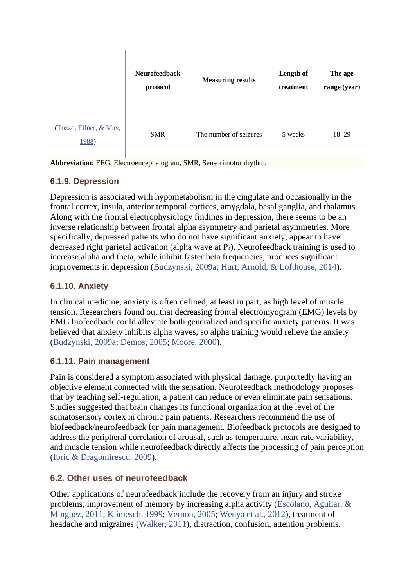|                                 | <b>Neurofeedback</b><br>protocol | <b>Measuring results</b> | Length of<br>treatment | The age<br>range (year) |
|---------------------------------|----------------------------------|--------------------------|------------------------|-------------------------|
| (Tozzo, Elfner, & May,<br>1988) | <b>SMR</b>                       | The number of seizures   | 5 weeks                | $18 - 29$               |

**Abbreviation:** EEG, Electroencephalogram, SMR, Sensorimotor rhythm.

### **6.1.9. Depression**

Depression is associated with hypometabolism in the cingulate and occasionally in the frontal cortex, insula, anterior temporal cortices, amygdala, basal ganglia, and thalamus. Along with the frontal electrophysiology findings in depression, there seems to be an inverse relationship between frontal alpha asymmetry and parietal asymmetries. More specifically, depressed patients who do not have significant anxiety, appear to have decreased right parietal activation (alpha wave at P4). Neurofeedback training is used to increase alpha and theta, while inhibit faster beta frequencies, produces significant improvements in depression [\(Budzynski, 2009a;](https://www.ncbi.nlm.nih.gov/pmc/articles/PMC4892319/#B7) [Hurt, Arnold, & Lofthouse, 2014\)](https://www.ncbi.nlm.nih.gov/pmc/articles/PMC4892319/#B39).

### **6.1.10. Anxiety**

In clinical medicine, anxiety is often defined, at least in part, as high level of muscle tension. Researchers found out that decreasing frontal electromyogram (EMG) levels by EMG biofeedback could alleviate both generalized and specific anxiety patterns. It was believed that anxiety inhibits alpha waves, so alpha training would relieve the anxiety [\(Budzynski, 2009a;](https://www.ncbi.nlm.nih.gov/pmc/articles/PMC4892319/#B7) [Demos, 2005;](https://www.ncbi.nlm.nih.gov/pmc/articles/PMC4892319/#B16) [Moore, 2000\)](https://www.ncbi.nlm.nih.gov/pmc/articles/PMC4892319/#B61).

# **6.1.11. Pain management**

Pain is considered a symptom associated with physical damage, purportedly having an objective element connected with the sensation. Neurofeedback methodology proposes that by teaching self-regulation, a patient can reduce or even eliminate pain sensations. Studies suggested that brain changes its functional organization at the level of the somatosensory cortex in chronic pain patients. Researchers recommend the use of biofeedback/neurofeedback for pain management. Biofeedback protocols are designed to address the peripheral correlation of arousal, such as temperature, heart rate variability, and muscle tension while neurofeedback directly affects the processing of pain perception [\(Ibric & Dragomirescu, 2009\)](https://www.ncbi.nlm.nih.gov/pmc/articles/PMC4892319/#B41).

# **6.2. Other uses of neurofeedback**

Other applications of neurofeedback include the recovery from an injury and stroke problems, improvement of memory by increasing alpha activity [\(Escolano, Aguilar, &](https://www.ncbi.nlm.nih.gov/pmc/articles/PMC4892319/#B23)  [Minguez, 2011;](https://www.ncbi.nlm.nih.gov/pmc/articles/PMC4892319/#B23) [Klimesch, 1999;](https://www.ncbi.nlm.nih.gov/pmc/articles/PMC4892319/#B44) [Vernon, 2005;](https://www.ncbi.nlm.nih.gov/pmc/articles/PMC4892319/#B88) [Wenya et al., 2012\)](https://www.ncbi.nlm.nih.gov/pmc/articles/PMC4892319/#B92), treatment of headache and migraines [\(Walker, 2011\)](https://www.ncbi.nlm.nih.gov/pmc/articles/PMC4892319/#B90), distraction, confusion, attention problems,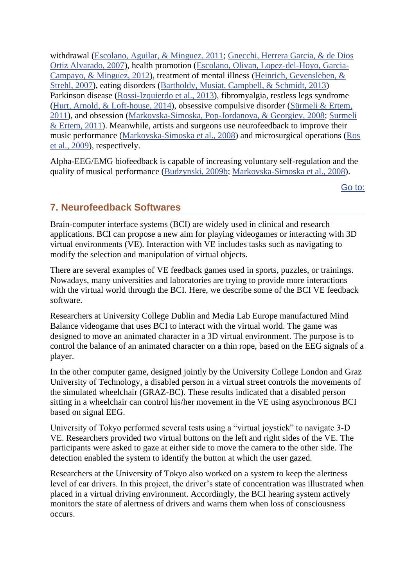withdrawal [\(Escolano, Aguilar, & Minguez, 2011;](https://www.ncbi.nlm.nih.gov/pmc/articles/PMC4892319/#B23) [Gnecchi, Herrera Garcia, & de Dios](https://www.ncbi.nlm.nih.gov/pmc/articles/PMC4892319/#B30)  [Ortiz Alvarado, 2007\)](https://www.ncbi.nlm.nih.gov/pmc/articles/PMC4892319/#B30), health promotion [\(Escolano, Olivan, Lopez-del-Hoyo, Garcia-](https://www.ncbi.nlm.nih.gov/pmc/articles/PMC4892319/#B24)[Campayo, & Minguez, 2012\)](https://www.ncbi.nlm.nih.gov/pmc/articles/PMC4892319/#B24), treatment of mental illness [\(Heinrich, Gevensleben, &](https://www.ncbi.nlm.nih.gov/pmc/articles/PMC4892319/#B35)  [Strehl, 2007\)](https://www.ncbi.nlm.nih.gov/pmc/articles/PMC4892319/#B35), eating disorders [\(Bartholdy, Musiat, Campbell, & Schmidt, 2013\)](https://www.ncbi.nlm.nih.gov/pmc/articles/PMC4892319/#B3) Parkinson disease [\(Rossi-Izquierdo et al., 2013\)](https://www.ncbi.nlm.nih.gov/pmc/articles/PMC4892319/#B75), fibromyalgia, restless legs syndrome [\(Hurt, Arnold, & Loft-house, 2014\)](https://www.ncbi.nlm.nih.gov/pmc/articles/PMC4892319/#B39), obsessive compulsive disorder [\(Sürmeli & Ertem,](https://www.ncbi.nlm.nih.gov/pmc/articles/PMC4892319/#B82)  [2011\)](https://www.ncbi.nlm.nih.gov/pmc/articles/PMC4892319/#B82), and obsession [\(Markovska-Simoska, Pop-Jordanova, & Georgiev, 2008;](https://www.ncbi.nlm.nih.gov/pmc/articles/PMC4892319/#B57) [Surmeli](https://www.ncbi.nlm.nih.gov/pmc/articles/PMC4892319/#B82)  [& Ertem, 2011\)](https://www.ncbi.nlm.nih.gov/pmc/articles/PMC4892319/#B82). Meanwhile, artists and surgeons use neurofeedback to improve their music performance [\(Markovska-Simoska et al., 2008\)](https://www.ncbi.nlm.nih.gov/pmc/articles/PMC4892319/#B57) and microsurgical operations [\(Ros](https://www.ncbi.nlm.nih.gov/pmc/articles/PMC4892319/#B74)  [et al., 2009\)](https://www.ncbi.nlm.nih.gov/pmc/articles/PMC4892319/#B74), respectively.

Alpha-EEG/EMG biofeedback is capable of increasing voluntary self-regulation and the quality of musical performance [\(Budzynski, 2009b;](https://www.ncbi.nlm.nih.gov/pmc/articles/PMC4892319/#B8) [Markovska-Simoska et al., 2008\)](https://www.ncbi.nlm.nih.gov/pmc/articles/PMC4892319/#B57).

[Go to:](https://www.ncbi.nlm.nih.gov/pmc/articles/PMC4892319/)

# **7. Neurofeedback Softwares**

Brain-computer interface systems (BCI) are widely used in clinical and research applications. BCI can propose a new aim for playing videogames or interacting with 3D virtual environments (VE). Interaction with VE includes tasks such as navigating to modify the selection and manipulation of virtual objects.

There are several examples of VE feedback games used in sports, puzzles, or trainings. Nowadays, many universities and laboratories are trying to provide more interactions with the virtual world through the BCI. Here, we describe some of the BCI VE feedback software.

Researchers at University College Dublin and Media Lab Europe manufactured Mind Balance videogame that uses BCI to interact with the virtual world. The game was designed to move an animated character in a 3D virtual environment. The purpose is to control the balance of an animated character on a thin rope, based on the EEG signals of a player.

In the other computer game, designed jointly by the University College London and Graz University of Technology, a disabled person in a virtual street controls the movements of the simulated wheelchair (GRAZ-BC). These results indicated that a disabled person sitting in a wheelchair can control his/her movement in the VE using asynchronous BCI based on signal EEG.

University of Tokyo performed several tests using a "virtual joystick" to navigate 3-D VE. Researchers provided two virtual buttons on the left and right sides of the VE. The participants were asked to gaze at either side to move the camera to the other side. The detection enabled the system to identify the button at which the user gazed.

Researchers at the University of Tokyo also worked on a system to keep the alertness level of car drivers. In this project, the driver's state of concentration was illustrated when placed in a virtual driving environment. Accordingly, the BCI hearing system actively monitors the state of alertness of drivers and warns them when loss of consciousness occurs.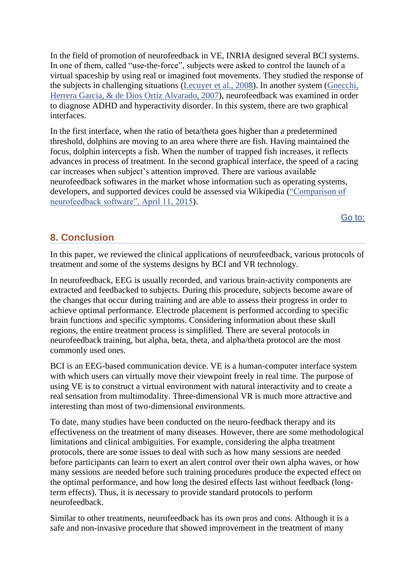In the field of promotion of neurofeedback in VE, INRIA designed several BCI systems. In one of them, called "use-the-force", subjects were asked to control the launch of a virtual spaceship by using real or imagined foot movements. They studied the response of the subjects in challenging situations [\(Lecuyer et al., 2008\)](https://www.ncbi.nlm.nih.gov/pmc/articles/PMC4892319/#B48). In another system [\(Gnecchi,](https://www.ncbi.nlm.nih.gov/pmc/articles/PMC4892319/#B30)  [Herrera Garcia, & de Dios Ortiz Alvarado, 2007\)](https://www.ncbi.nlm.nih.gov/pmc/articles/PMC4892319/#B30), neurofeedback was examined in order to diagnose ADHD and hyperactivity disorder. In this system, there are two graphical interfaces.

In the first interface, when the ratio of beta/theta goes higher than a predetermined threshold, dolphins are moving to an area where there are fish. Having maintained the focus, dolphin intercepts a fish. When the number of trapped fish increases, it reflects advances in process of treatment. In the second graphical interface, the speed of a racing car increases when subject's attention improved. There are various available neurofeedback softwares in the market whose information such as operating systems, developers, and supported devices could be assessed via Wikipedia [\("Comparison of](https://www.ncbi.nlm.nih.gov/pmc/articles/PMC4892319/#B13)  [neurofeedback software", April 11, 2015\)](https://www.ncbi.nlm.nih.gov/pmc/articles/PMC4892319/#B13).

[Go to:](https://www.ncbi.nlm.nih.gov/pmc/articles/PMC4892319/)

# **8. Conclusion**

In this paper, we reviewed the clinical applications of neurofeedback, various protocols of treatment and some of the systems designs by BCI and VR technology.

In neurofeedback, EEG is usually recorded, and various brain-activity components are extracted and feedbacked to subjects. During this procedure, subjects become aware of the changes that occur during training and are able to assess their progress in order to achieve optimal performance. Electrode placement is performed according to specific brain functions and specific symptoms. Considering information about these skull regions, the entire treatment process is simplified. There are several protocols in neurofeedback training, but alpha, beta, theta, and alpha/theta protocol are the most commonly used ones.

BCI is an EEG-based communication device. VE is a human-computer interface system with which users can virtually move their viewpoint freely in real time. The purpose of using VE is to construct a virtual environment with natural interactivity and to create a real sensation from multimodality. Three-dimensional VR is much more attractive and interesting than most of two-dimensional environments.

To date, many studies have been conducted on the neuro-feedback therapy and its effectiveness on the treatment of many diseases. However, there are some methodological limitations and clinical ambiguities. For example, considering the alpha treatment protocols, there are some issues to deal with such as how many sessions are needed before participants can learn to exert an alert control over their own alpha waves, or how many sessions are needed before such training procedures produce the expected effect on the optimal performance, and how long the desired effects last without feedback (longterm effects). Thus, it is necessary to provide standard protocols to perform neurofeedback.

Similar to other treatments, neurofeedback has its own pros and cons. Although it is a safe and non-invasive procedure that showed improvement in the treatment of many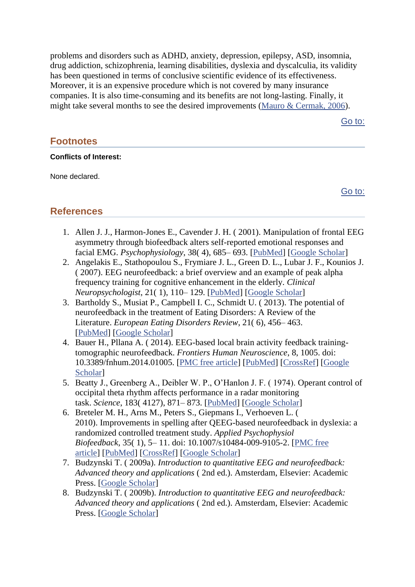problems and disorders such as ADHD, anxiety, depression, epilepsy, ASD, insomnia, drug addiction, schizophrenia, learning disabilities, dyslexia and dyscalculia, its validity has been questioned in terms of conclusive scientific evidence of its effectiveness. Moreover, it is an expensive procedure which is not covered by many insurance companies. It is also time-consuming and its benefits are not long-lasting. Finally, it might take several months to see the desired improvements [\(Mauro & Cermak, 2006\)](https://www.ncbi.nlm.nih.gov/pmc/articles/PMC4892319/#B59).

[Go to:](https://www.ncbi.nlm.nih.gov/pmc/articles/PMC4892319/)

# **Footnotes**

#### **Conflicts of Interest:**

None declared.

[Go to:](https://www.ncbi.nlm.nih.gov/pmc/articles/PMC4892319/)

# **References**

- 1. Allen J. J., Harmon-Jones E., Cavender J. H. ( 2001). Manipulation of frontal EEG asymmetry through biofeedback alters self-reported emotional responses and facial EMG. *Psychophysiology*, 38( 4), 685– 693. [\[PubMed\]](https://www.ncbi.nlm.nih.gov/pubmed/11446582) [\[Google Scholar\]](https://scholar.google.com/scholar_lookup?journal=Psychophysiology&title=Manipulation+of+frontal+EEG+asymmetry+through+biofeedback+alters+self-reported+emotional+responses+and+facial+EMG&author=J.+J.+Allen&author=E.+Harmon-Jones&author=J.+H.+Cavender&volume=38&issue=4&publication_year=2001&pages=685-693&pmid=11446582&)
- 2. Angelakis E., Stathopoulou S., Frymiare J. L., Green D. L., Lubar J. F., Kounios J. ( 2007). EEG neurofeedback: a brief overview and an example of peak alpha frequency training for cognitive enhancement in the elderly. *Clinical Neuropsychologist*, 21( 1), 110– 129. [\[PubMed\]](https://www.ncbi.nlm.nih.gov/pubmed/17366280) [\[Google Scholar\]](https://scholar.google.com/scholar_lookup?journal=Clinical+Neuropsychologist&title=EEG+neurofeedback:+a+brief+overview+and+an+example+of+peak+alpha+frequency+training+for+cognitive+enhancement+in+the+elderly&author=E.+Angelakis&author=S.+Stathopoulou&author=J.+L.+Frymiare&author=D.+L.+Green&author=J.+F.+Lubar&volume=21&issue=1&publication_year=2007&pages=110-129&pmid=17366280&)
- 3. Bartholdy S., Musiat P., Campbell I. C., Schmidt U. ( 2013). The potential of neurofeedback in the treatment of Eating Disorders: A Review of the Literature. *European Eating Disorders Review*, 21( 6), 456– 463. [\[PubMed\]](https://www.ncbi.nlm.nih.gov/pubmed/24115445) [\[Google Scholar\]](https://scholar.google.com/scholar_lookup?journal=European+Eating+Disorders+Review&title=The+potential+of+neurofeedback+in+the+treatment+of+Eating+Disorders:+A+Review+of+the+Literature&author=S.+Bartholdy&author=P.+Musiat&author=I.+C.+Campbell&author=U.+Schmidt&volume=21&issue=6&publication_year=2013&pages=456-463&pmid=24115445&)
- 4. Bauer H., Pllana A. ( 2014). EEG-based local brain activity feedback trainingtomographic neurofeedback. *Frontiers Human Neuroscience*, 8, 1005. doi: 10.3389/fnhum.2014.01005. [\[PMC free article\]](https://www.ncbi.nlm.nih.gov/pmc/articles/PMC4264468/) [\[PubMed\]](https://www.ncbi.nlm.nih.gov/pubmed/25566027) [\[CrossRef\]](https://dx.doi.org/10.3389%2Ffnhum.2014.01005) [\[Google](https://scholar.google.com/scholar_lookup?journal=Frontiers+Human+Neuroscience&title=EEG-based+local+brain+activity+feedback+training-tomographic+neurofeedback&author=H.+Bauer&author=A.+Pllana&volume=8&publication_year=2014&pages=1005&doi=10.3389/fnhum.2014.01005&)  [Scholar\]](https://scholar.google.com/scholar_lookup?journal=Frontiers+Human+Neuroscience&title=EEG-based+local+brain+activity+feedback+training-tomographic+neurofeedback&author=H.+Bauer&author=A.+Pllana&volume=8&publication_year=2014&pages=1005&doi=10.3389/fnhum.2014.01005&)
- 5. Beatty J., Greenberg A., Deibler W. P., O'Hanlon J. F. ( 1974). Operant control of occipital theta rhythm affects performance in a radar monitoring task. *Science*, 183( 4127), 871– 873. [\[PubMed\]](https://www.ncbi.nlm.nih.gov/pubmed/4810845) [\[Google Scholar\]](https://scholar.google.com/scholar_lookup?journal=Science&title=Operant+control+of+occipital+theta+rhythm+affects+performance+in+a+radar+monitoring+task&author=J.+Beatty&author=A.+Greenberg&author=W.+P.+Deibler&author=J.+F.+O%E2%80%99Hanlon&volume=183&issue=4127&publication_year=1974&pages=871-873&pmid=4810845&)
- 6. Breteler M. H., Arns M., Peters S., Giepmans I., Verhoeven L. ( 2010). Improvements in spelling after QEEG-based neurofeedback in dyslexia: a randomized controlled treatment study. *Applied Psychophysiol Biofeedback*, 35( 1), 5– 11. doi: 10.1007/s10484-009-9105-2. [\[PMC free](https://www.ncbi.nlm.nih.gov/pmc/articles/PMC2837193/)  [article\]](https://www.ncbi.nlm.nih.gov/pmc/articles/PMC2837193/) [\[PubMed\]](https://www.ncbi.nlm.nih.gov/pubmed/19711183) [\[CrossRef\]](https://dx.doi.org/10.1007%2Fs10484-009-9105-2) [\[Google Scholar\]](https://scholar.google.com/scholar_lookup?journal=Applied+Psychophysiol+Biofeedback&title=Improvements+in+spelling+after+QEEG-based+neurofeedback+in+dyslexia:+a+randomized+controlled+treatment+study&author=M.+H.+Breteler&author=M.+Arns&author=S.+Peters&author=I.+Giepmans&author=L.+Verhoeven&volume=35&issue=1&publication_year=2010&pages=5-11&doi=10.1007/s10484-009-9105-2&)
- 7. Budzynski T. ( 2009a). *Introduction to quantitative EEG and neurofeedback: Advanced theory and applications* ( 2nd ed.). Amsterdam, Elsevier: Academic Press. [\[Google Scholar\]](https://scholar.google.com/scholar_lookup?title=Introduction+to+quantitative+EEG+and+neurofeedback:+Advanced+theory+and+applications&author=T.+Budzynski&publication_year=2009a&)
- 8. Budzynski T. ( 2009b). *Introduction to quantitative EEG and neurofeedback: Advanced theory and applications* ( 2nd ed.). Amsterdam, Elsevier: Academic Press. [\[Google Scholar\]](https://scholar.google.com/scholar_lookup?title=Introduction+to+quantitative+EEG+and+neurofeedback:+Advanced+theory+and+applications&author=T.+Budzynski&publication_year=2009b&)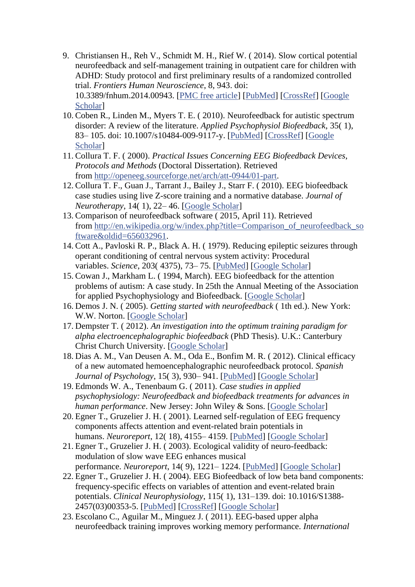- 9. Christiansen H., Reh V., Schmidt M. H., Rief W. ( 2014). Slow cortical potential neurofeedback and self-management training in outpatient care for children with ADHD: Study protocol and first preliminary results of a randomized controlled trial. *Frontiers Human Neuroscience*, 8, 943. doi: 10.3389/fnhum.2014.00943. [\[PMC free article\]](https://www.ncbi.nlm.nih.gov/pmc/articles/PMC4244863/) [\[PubMed\]](https://www.ncbi.nlm.nih.gov/pubmed/25505396) [\[CrossRef\]](https://dx.doi.org/10.3389%2Ffnhum.2014.00943) [\[Google](https://scholar.google.com/scholar_lookup?journal=Frontiers+Human+Neuroscience&title=Slow+cortical+potential+neurofeedback+and+self-management+training+in+outpatient+care+for+children+with+ADHD:+Study+protocol+and+first+preliminary+results+of+a+randomized+controlled+trial&author=H.+Christiansen&author=V.+Reh&author=M.+H.+Schmidt&author=W.+Rief&volume=8&publication_year=2014&pages=943&doi=10.3389/fnhum.2014.00943&)  [Scholar\]](https://scholar.google.com/scholar_lookup?journal=Frontiers+Human+Neuroscience&title=Slow+cortical+potential+neurofeedback+and+self-management+training+in+outpatient+care+for+children+with+ADHD:+Study+protocol+and+first+preliminary+results+of+a+randomized+controlled+trial&author=H.+Christiansen&author=V.+Reh&author=M.+H.+Schmidt&author=W.+Rief&volume=8&publication_year=2014&pages=943&doi=10.3389/fnhum.2014.00943&)
- 10. Coben R., Linden M., Myers T. E. ( 2010). Neurofeedback for autistic spectrum disorder: A review of the literature. *Applied Psychophysiol Biofeedback*, 35( 1), 83– 105. doi: 10.1007/s10484-009-9117-y. [\[PubMed\]](https://www.ncbi.nlm.nih.gov/pubmed/19856096) [\[CrossRef\]](https://dx.doi.org/10.1007%2Fs10484-009-9117-y) [\[Google](https://scholar.google.com/scholar_lookup?journal=Applied+Psychophysiol+Biofeedback&title=Neurofeedback+for+autistic+spectrum+disorder:+A+review+of+the+literature&author=R.+Coben&author=M.+Linden&author=T.+E.+Myers&volume=35&issue=1&publication_year=2010&pages=83-105&doi=10.1007/s10484-009-9117-y&)  [Scholar\]](https://scholar.google.com/scholar_lookup?journal=Applied+Psychophysiol+Biofeedback&title=Neurofeedback+for+autistic+spectrum+disorder:+A+review+of+the+literature&author=R.+Coben&author=M.+Linden&author=T.+E.+Myers&volume=35&issue=1&publication_year=2010&pages=83-105&doi=10.1007/s10484-009-9117-y&)
- 11. Collura T. F. ( 2000). *Practical Issues Concerning EEG Biofeedback Devices, Protocols and Methods* (Doctoral Dissertation). Retrieved from [http://openeeg.sourceforge.net/arch/att-0944/01-part.](http://openeeg.sourceforge.net/arch/att-0944/01-part)
- 12. Collura T. F., Guan J., Tarrant J., Bailey J., Starr F. ( 2010). EEG biofeedback case studies using live Z-score training and a normative database. *Journal of Neurotherapy*, 14( 1), 22– 46. [\[Google Scholar\]](https://scholar.google.com/scholar_lookup?journal=Journal+of+Neurotherapy&title=EEG+biofeedback+case+studies+using+live+Z-score+training+and+a+normative+database&author=T.+F.+Collura&author=J.+Guan&author=J.+Tarrant&author=J.+Bailey&author=F.+Starr&volume=14&issue=1&publication_year=2010&pages=22-46&)
- 13. Comparison of neurofeedback software ( 2015, April 11). Retrieved from [http://en.wikipedia.org/w/index.php?title=Comparison\\_of\\_neurofeedback\\_so](http://en.wikipedia.org/w/index.php?title=Comparison_of_neurofeedback_software&oldid=656032961) [ftware&oldid=656032961.](http://en.wikipedia.org/w/index.php?title=Comparison_of_neurofeedback_software&oldid=656032961)
- 14. Cott A., Pavloski R. P., Black A. H. ( 1979). Reducing epileptic seizures through operant conditioning of central nervous system activity: Procedural variables. *Science*, 203( 4375), 73– 75. [\[PubMed\]](https://www.ncbi.nlm.nih.gov/pubmed/758682) [\[Google Scholar\]](https://scholar.google.com/scholar_lookup?journal=Science&title=Reducing+epileptic+seizures+through+operant+conditioning+of+central+nervous+system+activity:+Procedural+variables&author=A.+Cott&author=R.+P.+Pavloski&author=A.+H.+Black&volume=203&issue=4375&publication_year=1979&pages=73-75&pmid=758682&)
- 15. Cowan J., Markham L. ( 1994, March). EEG biofeedback for the attention problems of autism: A case study. In 25th the Annual Meeting of the Association for applied Psychophysiology and Biofeedback. [\[Google Scholar\]](https://scholar.google.com/scholar?q=+Cowan+J.+Markham+L.++(+1994+,++3+).++EEG+biofeedback+for+the+attention+problems+of+autism:+A+case+study+.+In++25th+the+Annual+Meeting+of+the+Association+for+applied+Psychophysiology+and+Biofeedback+.+)
- 16. Demos J. N. ( 2005). *Getting started with neurofeedback* ( 1th ed.). New York: W.W. Norton. [\[Google Scholar\]](https://scholar.google.com/scholar_lookup?title=Getting+started+with+neurofeedback&author=J.+N.+Demos&publication_year=2005&)
- 17. Dempster T. ( 2012). *An investigation into the optimum training paradigm for alpha electroencephalographic biofeedback* (PhD Thesis). U.K.: Canterbury Christ Church University. [\[Google Scholar\]](https://scholar.google.com/scholar_lookup?title=An+investigation+into+the+optimum+training+paradigm+for+alpha+electroencephalographic+biofeedback&author=T.+Dempster&publication_year=2012&)
- 18. Dias A. M., Van Deusen A. M., Oda E., Bonfim M. R. ( 2012). Clinical efficacy of a new automated hemoencephalographic neurofeedback protocol. *Spanish Journal of Psychology*, 15( 3), 930– 941. [\[PubMed\]](https://www.ncbi.nlm.nih.gov/pubmed/23156903) [\[Google Scholar\]](https://scholar.google.com/scholar_lookup?journal=Spanish+Journal+of+Psychology&title=Clinical+efficacy+of+a+new+automated+hemoencephalographic+neurofeedback+protocol&author=A.+M.+Dias&author=A.+M.+Van+Deusen&author=E.+Oda&author=M.+R.+Bonfim&volume=15&issue=3&publication_year=2012&pages=930-941&pmid=23156903&)
- 19. Edmonds W. A., Tenenbaum G. ( 2011). *Case studies in applied psychophysiology: Neurofeedback and biofeedback treatments for advances in human performance*. New Jersey: John Wiley & Sons. [\[Google Scholar\]](https://scholar.google.com/scholar_lookup?title=Case+studies+in+applied+psychophysiology:+Neurofeedback+and+biofeedback+treatments+for+advances+in+human+performance&author=W.+A.+Edmonds&author=G.+Tenenbaum&publication_year=2011&)
- 20. Egner T., Gruzelier J. H. ( 2001). Learned self-regulation of EEG frequency components affects attention and event-related brain potentials in humans. *Neuroreport*, 12( 18), 4155– 4159. [\[PubMed\]](https://www.ncbi.nlm.nih.gov/pubmed/11742256) [\[Google Scholar\]](https://scholar.google.com/scholar_lookup?journal=Neuroreport&title=Learned+self-regulation+of+EEG+frequency+components+affects+attention+and+event-related+brain+potentials+in+humans&author=T.+Egner&author=J.+H.+Gruzelier&volume=12&issue=18&publication_year=2001&pages=4155-4159&pmid=11742256&)
- 21. Egner T., Gruzelier J. H. ( 2003). Ecological validity of neuro-feedback: modulation of slow wave EEG enhances musical performance. *Neuroreport*, 14( 9), 1221– 1224. [\[PubMed\]](https://www.ncbi.nlm.nih.gov/pubmed/12824763) [\[Google Scholar\]](https://scholar.google.com/scholar_lookup?journal=Neuroreport&title=Ecological+validity+of+neuro-feedback:+modulation+of+slow+wave+EEG+enhances+musical+performance&author=T.+Egner&author=J.+H.+Gruzelier&volume=14&issue=9&publication_year=2003&pages=1221-1224&pmid=12824763&)
- 22. Egner T., Gruzelier J. H. ( 2004). EEG Biofeedback of low beta band components: frequency-specific effects on variables of attention and event-related brain potentials. *Clinical Neurophysiology*, 115( 1), 131–139. doi: 10.1016/S1388- 2457(03)00353-5. [\[PubMed\]](https://www.ncbi.nlm.nih.gov/pubmed/14706480) [\[CrossRef\]](https://dx.doi.org/10.1016%2FS1388-2457(03)00353-5) [\[Google Scholar\]](https://scholar.google.com/scholar_lookup?journal=Clinical+Neurophysiology&title=EEG+Biofeedback+of+low+beta+band+components:+frequency-specific+effects+on+variables+of+attention+and+event-related+brain+potentials&author=T.+Egner&author=J.+H.+Gruzelier&volume=115&issue=1&publication_year=2004&pages=131-139&pmid=14706480&doi=10.1016/S1388-2457(03)00353-5&)
- 23. Escolano C., Aguilar M., Minguez J. ( 2011). EEG-based upper alpha neurofeedback training improves working memory performance. *International*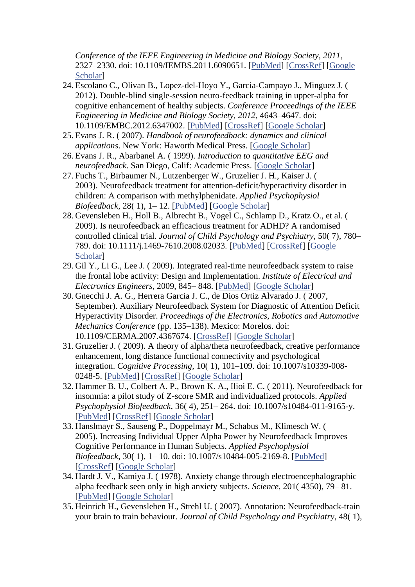*Conference of the IEEE Engineering in Medicine and Biology Society, 2011*, 2327–2330. doi: 10.1109/IEMBS.2011.6090651. [\[PubMed\]](https://www.ncbi.nlm.nih.gov/pubmed/22254807) [\[CrossRef\]](https://dx.doi.org/10.1109%2FIEMBS.2011.6090651) [\[Google](https://scholar.google.com/scholar_lookup?journal=International+Conference+of+the+IEEE+Engineering+in+Medicine+and+Biology+Society,+2011&title=EEG-based+upper+alpha+neurofeedback+training+improves+working+memory+performance&author=C.+Escolano&author=M.+Aguilar&author=J.+Minguez&publication_year=2011&pages=2327-2330&doi=10.1109/IEMBS.2011.6090651&)  [Scholar\]](https://scholar.google.com/scholar_lookup?journal=International+Conference+of+the+IEEE+Engineering+in+Medicine+and+Biology+Society,+2011&title=EEG-based+upper+alpha+neurofeedback+training+improves+working+memory+performance&author=C.+Escolano&author=M.+Aguilar&author=J.+Minguez&publication_year=2011&pages=2327-2330&doi=10.1109/IEMBS.2011.6090651&)

- 24. Escolano C., Olivan B., Lopez-del-Hoyo Y., Garcia-Campayo J., Minguez J. ( 2012). Double-blind single-session neuro-feedback training in upper-alpha for cognitive enhancement of healthy subjects. *Conference Proceedings of the IEEE Engineering in Medicine and Biology Society, 2012*, 4643–4647. doi: 10.1109/EMBC.2012.6347002. [\[PubMed\]](https://www.ncbi.nlm.nih.gov/pubmed/23366963) [\[CrossRef\]](https://dx.doi.org/10.1109%2FEMBC.2012.6347002) [\[Google Scholar\]](https://scholar.google.com/scholar_lookup?journal=Conference+Proceedings+of+the+IEEE+Engineering+in+Medicine+and+Biology+Society,+2012&title=Double-blind+single-session+neuro-feedback+training+in+upper-alpha+for+cognitive+enhancement+of+healthy+subjects&author=C.+Escolano&author=B.+Olivan&author=Y.+Lopez-del-Hoyo&author=J.+Garcia-Campayo&author=J.+Minguez&publication_year=2012&pages=4643-4647&doi=10.1109/EMBC.2012.6347002&)
- 25. Evans J. R. ( 2007). *Handbook of neurofeedback: dynamics and clinical applications*. New York: Haworth Medical Press. [\[Google Scholar\]](https://scholar.google.com/scholar_lookup?title=Handbook+of+neurofeedback:+dynamics+and+clinical+applications&author=J.+R.+Evans&publication_year=2007&)
- 26. Evans J. R., Abarbanel A. ( 1999). *Introduction to quantitative EEG and neurofeedback*. San Diego, Calif: Academic Press. [\[Google Scholar\]](https://scholar.google.com/scholar_lookup?title=Introduction+to+quantitative+EEG+and+neurofeedback&author=J.+R.+Evans&author=A.+Abarbanel&publication_year=1999&)
- 27. Fuchs T., Birbaumer N., Lutzenberger W., Gruzelier J. H., Kaiser J. ( 2003). Neurofeedback treatment for attention-deficit/hyperactivity disorder in children: A comparison with methylphenidate. *Applied Psychophysiol Biofeedback*, 28( 1), 1– 12. [\[PubMed\]](https://www.ncbi.nlm.nih.gov/pubmed/12737092) [\[Google Scholar\]](https://scholar.google.com/scholar_lookup?journal=Applied+Psychophysiol+Biofeedback&title=Neurofeedback+treatment+for+attention-deficit/hyperactivity+disorder+in+children:+A+comparison+with+methylphenidate&author=T.+Fuchs&author=N.+Birbaumer&author=W.+Lutzenberger&author=J.+H.+Gruzelier&author=J.+Kaiser&volume=28&issue=1&publication_year=2003&pages=1-12&)
- 28. Gevensleben H., Holl B., Albrecht B., Vogel C., Schlamp D., Kratz O., et al. ( 2009). Is neurofeedback an efficacious treatment for ADHD? A randomised controlled clinical trial. *Journal of Child Psychology and Psychiatry*, 50( 7), 780– 789. doi: 10.1111/j.1469-7610.2008.02033. [\[PubMed\]](https://www.ncbi.nlm.nih.gov/pubmed/19207632) [\[CrossRef\]](https://dx.doi.org/10.1111%2Fj.1469-7610.2008.02033) [\[Google](https://scholar.google.com/scholar_lookup?journal=Journal+of+Child+Psychology+and+Psychiatry&title=Is+neurofeedback+an+efficacious+treatment+for+ADHD?+A+randomised+controlled+clinical+trial&author=H.+Gevensleben&author=B.+Holl&author=B.+Albrecht&author=C.+Vogel&author=D.+Schlamp&volume=50&issue=7&publication_year=2009&pages=780-789&pmid=19207632&doi=10.1111/j.1469-7610.2008.02033&)  [Scholar\]](https://scholar.google.com/scholar_lookup?journal=Journal+of+Child+Psychology+and+Psychiatry&title=Is+neurofeedback+an+efficacious+treatment+for+ADHD?+A+randomised+controlled+clinical+trial&author=H.+Gevensleben&author=B.+Holl&author=B.+Albrecht&author=C.+Vogel&author=D.+Schlamp&volume=50&issue=7&publication_year=2009&pages=780-789&pmid=19207632&doi=10.1111/j.1469-7610.2008.02033&)
- 29. Gil Y., Li G., Lee J. ( 2009). Integrated real-time neurofeedback system to raise the frontal lobe activity: Design and Implementation. *Institute of Electrical and Electronics Engineers*, 2009, 845– 848. [\[PubMed\]](https://www.ncbi.nlm.nih.gov/pubmed/19963734) [\[Google Scholar\]](https://scholar.google.com/scholar_lookup?journal=Institute+of+Electrical+and+Electronics+Engineers&title=Integrated+real-time+neurofeedback+system+to+raise+the+frontal+lobe+activity:+Design+and+Implementation&author=Y.+Gil&author=G.+Li&author=J.+Lee&volume=2009&publication_year=2009&pages=845-848&)
- 30. Gnecchi J. A. G., Herrera Garcia J. C., de Dios Ortiz Alvarado J. ( 2007, September). Auxiliary Neurofeedback System for Diagnostic of Attention Deficit Hyperactivity Disorder. *Proceedings of the Electronics, Robotics and Automotive Mechanics Conference* (pp. 135–138). Mexico: Morelos. doi: 10.1109/CERMA.2007.4367674. [\[CrossRef\]](https://dx.doi.org/10.1109%2FCERMA.2007.4367674) [\[Google Scholar\]](https://scholar.google.com/scholar_lookup?title=Proceedings+of+the+Electronics,+Robotics+and+Automotive+Mechanics+Conference&author=J.+A.+G.+Gnecchi&author=J.+C.+Herrera+Garcia&author=J.+de+Dios+Ortiz+Alvarado&publication_year=2007&)
- 31. Gruzelier J. ( 2009). A theory of alpha/theta neurofeedback, creative performance enhancement, long distance functional connectivity and psychological integration. *Cognitive Processing*, 10( 1), 101–109. doi: 10.1007/s10339-008- 0248-5. [\[PubMed\]](https://www.ncbi.nlm.nih.gov/pubmed/19082646) [\[CrossRef\]](https://dx.doi.org/10.1007%2Fs10339-008-0248-5) [\[Google Scholar\]](https://scholar.google.com/scholar_lookup?journal=Cognitive+Processing&title=A+theory+of+alpha/theta+neurofeedback,+creative+performance+enhancement,+long+distance+functional+connectivity+and+psychological+integration&author=J.+Gruzelier&volume=10&issue=1&publication_year=2009&pages=101-109&pmid=18923857&doi=10.1007/s10339-008-0248-5&)
- 32. Hammer B. U., Colbert A. P., Brown K. A., Ilioi E. C. ( 2011). Neurofeedback for insomnia: a pilot study of Z-score SMR and individualized protocols. *Applied Psychophysiol Biofeedback*, 36( 4), 251– 264. doi: 10.1007/s10484-011-9165-y. [\[PubMed\]](https://www.ncbi.nlm.nih.gov/pubmed/21789650) [\[CrossRef\]](https://dx.doi.org/10.1007%2Fs10484-011-9165-y) [\[Google Scholar\]](https://scholar.google.com/scholar_lookup?journal=Applied+Psychophysiol+Biofeedback&title=Neurofeedback+for+insomnia:+a+pilot+study+of+Z-score+SMR+and+individualized+protocols&author=B.+U.+Hammer&author=A.+P.+Colbert&author=K.+A.+Brown&author=E.+C.+Ilioi&volume=36&issue=4&publication_year=2011&pages=251-264&doi=10.1007/s10484-011-9165-y&)
- 33. Hanslmayr S., Sauseng P., Doppelmayr M., Schabus M., Klimesch W. ( 2005). Increasing Individual Upper Alpha Power by Neurofeedback Improves Cognitive Performance in Human Subjects. *Applied Psychophysiol Biofeedback*, 30( 1), 1– 10. doi: 10.1007/s10484-005-2169-8. [\[PubMed\]](https://www.ncbi.nlm.nih.gov/pubmed/15889581) [\[CrossRef\]](https://dx.doi.org/10.1007%2Fs10484-005-2169-8) [\[Google Scholar\]](https://scholar.google.com/scholar_lookup?journal=Applied+Psychophysiol+Biofeedback&title=Increasing+Individual+Upper+Alpha+Power+by+Neurofeedback+Improves+Cognitive+Performance+in+Human+Subjects&author=S.+Hanslmayr&author=P.+Sauseng&author=M.+Doppelmayr&author=M.+Schabus&author=W.+Klimesch&volume=30&issue=1&publication_year=2005&pages=1-10&doi=10.1007/s10484-005-2169-8&)
- 34. Hardt J. V., Kamiya J. ( 1978). Anxiety change through electroencephalographic alpha feedback seen only in high anxiety subjects. *Science*, 201( 4350), 79– 81. [\[PubMed\]](https://www.ncbi.nlm.nih.gov/pubmed/663641) [\[Google Scholar\]](https://scholar.google.com/scholar_lookup?journal=Science&title=Anxiety+change+through+electroencephalographic+alpha+feedback+seen+only+in+high+anxiety+subjects&author=J.+V.+Hardt&author=J.+Kamiya&volume=201&issue=4350&publication_year=1978&pages=79-81&pmid=663641&)
- 35. Heinrich H., Gevensleben H., Strehl U. ( 2007). Annotation: Neurofeedback-train your brain to train behaviour. *Journal of Child Psychology and Psychiatry*, 48( 1),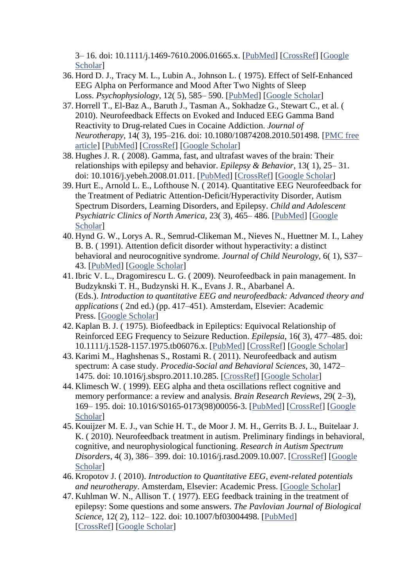3– 16. doi: 10.1111/j.1469-7610.2006.01665.x. [\[PubMed\]](https://www.ncbi.nlm.nih.gov/pubmed/17244266) [\[CrossRef\]](https://dx.doi.org/10.1111%2Fj.1469-7610.2006.01665.x) [\[Google](https://scholar.google.com/scholar_lookup?journal=Journal+of+Child+Psychology+and+Psychiatry&title=Annotation:+Neurofeedback-train+your+brain+to+train+behaviour&author=H.+Heinrich&author=H.+Gevensleben&author=U.+Strehl&volume=48&issue=1&publication_year=2007&pages=3-16&pmid=17244266&doi=10.1111/j.1469-7610.2006.01665.x&)  [Scholar\]](https://scholar.google.com/scholar_lookup?journal=Journal+of+Child+Psychology+and+Psychiatry&title=Annotation:+Neurofeedback-train+your+brain+to+train+behaviour&author=H.+Heinrich&author=H.+Gevensleben&author=U.+Strehl&volume=48&issue=1&publication_year=2007&pages=3-16&pmid=17244266&doi=10.1111/j.1469-7610.2006.01665.x&)

- 36. Hord D. J., Tracy M. L., Lubin A., Johnson L. ( 1975). Effect of Self-Enhanced EEG Alpha on Performance and Mood After Two Nights of Sleep Loss. *Psychophysiology*, 12( 5), 585– 590. [\[PubMed\]](https://www.ncbi.nlm.nih.gov/pubmed/1181610) [\[Google Scholar\]](https://scholar.google.com/scholar_lookup?journal=Psychophysiology&title=Effect+of+Self-Enhanced+EEG+Alpha+on+Performance+and+Mood+After+Two+Nights+of+Sleep+Loss&author=D.+J.+Hord&author=M.+L.+Tracy&author=A.+Lubin&author=L.+Johnson&volume=12&issue=5&publication_year=1975&pages=585-590&pmid=1181610&)
- 37. Horrell T., El-Baz A., Baruth J., Tasman A., Sokhadze G., Stewart C., et al. ( 2010). Neurofeedback Effects on Evoked and Induced EEG Gamma Band Reactivity to Drug-related Cues in Cocaine Addiction. *Journal of Neurotherapy*, 14( 3), 195–216. doi: 10.1080/10874208.2010.501498. [\[PMC free](https://www.ncbi.nlm.nih.gov/pmc/articles/PMC2957125/)  [article\]](https://www.ncbi.nlm.nih.gov/pmc/articles/PMC2957125/) [\[PubMed\]](https://www.ncbi.nlm.nih.gov/pubmed/20976131) [\[CrossRef\]](https://dx.doi.org/10.1080%2F10874208.2010.501498) [\[Google Scholar\]](https://scholar.google.com/scholar_lookup?journal=Journal+of+Neurotherapy&title=Neurofeedback+Effects+on+Evoked+and+Induced+EEG+Gamma+Band+Reactivity+to+Drug-related+Cues+in+Cocaine+Addiction&author=T.+Horrell&author=A.+El-Baz&author=J.+Baruth&author=A.+Tasman&author=G.+Sokhadze&volume=14&issue=3&publication_year=2010&pages=195-216&pmid=20976131&doi=10.1080/10874208.2010.501498&)
- 38. Hughes J. R. ( 2008). Gamma, fast, and ultrafast waves of the brain: Their relationships with epilepsy and behavior. *Epilepsy & Behavior*, 13( 1), 25– 31. doi: 10.1016/j.yebeh.2008.01.011. [\[PubMed\]](https://www.ncbi.nlm.nih.gov/pubmed/18439878) [\[CrossRef\]](https://dx.doi.org/10.1016%2Fj.yebeh.2008.01.011) [\[Google Scholar\]](https://scholar.google.com/scholar_lookup?journal=Epilepsy+&+Behavior&title=Gamma,+fast,+and+ultrafast+waves+of+the+brain:+Their+relationships+with+epilepsy+and+behavior&author=J.+R.+Hughes&volume=13&issue=1&publication_year=2008&pages=25-31&pmid=18439878&doi=10.1016/j.yebeh.2008.01.011&)
- 39. Hurt E., Arnold L. E., Lofthouse N. ( 2014). Quantitative EEG Neurofeedback for the Treatment of Pediatric Attention-Deficit/Hyperactivity Disorder, Autism Spectrum Disorders, Learning Disorders, and Epilepsy. *Child and Adolescent Psychiatric Clinics of North America*, 23( 3), 465– 486. [\[PubMed\]](https://www.ncbi.nlm.nih.gov/pubmed/24975622) [\[Google](https://scholar.google.com/scholar_lookup?journal=Child+and+Adolescent+Psychiatric+Clinics+of+North+America&title=Quantitative+EEG+Neurofeedback+for+the+Treatment+of+Pediatric+Attention-Deficit/Hyperactivity+Disorder,+Autism+Spectrum+Disorders,+Learning+Disorders,+and+Epilepsy&author=E.+Hurt&author=L.+E.+Arnold&author=N.+Lofthouse&volume=23&issue=3&publication_year=2014&pages=465-486&pmid=24975622&)  [Scholar\]](https://scholar.google.com/scholar_lookup?journal=Child+and+Adolescent+Psychiatric+Clinics+of+North+America&title=Quantitative+EEG+Neurofeedback+for+the+Treatment+of+Pediatric+Attention-Deficit/Hyperactivity+Disorder,+Autism+Spectrum+Disorders,+Learning+Disorders,+and+Epilepsy&author=E.+Hurt&author=L.+E.+Arnold&author=N.+Lofthouse&volume=23&issue=3&publication_year=2014&pages=465-486&pmid=24975622&)
- 40. Hynd G. W., Lorys A. R., Semrud-Clikeman M., Nieves N., Huettner M. I., Lahey B. B. ( 1991). Attention deficit disorder without hyperactivity: a distinct behavioral and neurocognitive syndrome. *Journal of Child Neurology*, 6( 1), S37– 43. [\[PubMed\]](https://www.ncbi.nlm.nih.gov/pubmed/2002215) [\[Google Scholar\]](https://scholar.google.com/scholar_lookup?journal=Journal+of+Child+Neurology&title=Attention+deficit+disorder+without+hyperactivity:+a+distinct+behavioral+and+neurocognitive+syndrome&author=G.+W.+Hynd&author=A.+R.+Lorys&author=M.+Semrud-Clikeman&author=N.+Nieves&author=M.+I.+Huettner&volume=6&issue=1&publication_year=1991&pages=S37-43&pmid=2002215&)
- 41. Ibric V. L., Dragomirescu L. G. ( 2009). Neurofeedback in pain management. In Budzyknski T. H., Budzynski H. K., Evans J. R., Abarbanel A. (Eds.). *Introduction to quantitative EEG and neurofeedback: Advanced theory and applications* ( 2nd ed.) (pp. 417–451). Amsterdam, Elsevier: Academic Press. [\[Google Scholar\]](https://scholar.google.com/scholar_lookup?title=Introduction+to+quantitative+EEG+and+neurofeedback:+Advanced+theory+and+applications&author=V.+L.+Ibric&author=L.+G.+Dragomirescu&publication_year=2009&)
- 42. Kaplan B. J. ( 1975). Biofeedback in Epileptics: Equivocal Relationship of Reinforced EEG Frequency to Seizure Reduction. *Epilepsia*, 16( 3), 477–485. doi: 10.1111/j.1528-1157.1975.tb06076.x. [\[PubMed\]](https://www.ncbi.nlm.nih.gov/pubmed/1183423) [\[CrossRef\]](https://dx.doi.org/10.1111%2Fj.1528-1157.1975.tb06076.x) [\[Google Scholar\]](https://scholar.google.com/scholar_lookup?journal=Epilepsia&title=Biofeedback+in+Epileptics:+Equivocal+Relationship+of+Reinforced+EEG+Frequency+to+Seizure+Reduction&author=B.+J.+Kaplan&volume=16&issue=3&publication_year=1975&pages=477-485&pmid=1183423&doi=10.1111/j.1528-1157.1975.tb06076.x&)
- 43. Karimi M., Haghshenas S., Rostami R. ( 2011). Neurofeedback and autism spectrum: A case study. *Procedia-Social and Behavioral Sciences*, 30, 1472– 1475. doi: 10.1016/j.sbspro.2011.10.285. [\[CrossRef\]](https://dx.doi.org/10.1016%2Fj.sbspro.2011.10.285) [\[Google Scholar\]](https://scholar.google.com/scholar_lookup?journal=Procedia-Social+and+Behavioral+Sciences&title=Neurofeedback+and+autism+spectrum:+A+case+study&author=M.+Karimi&author=S.+Haghshenas&author=R.+Rostami&volume=30&publication_year=2011&pages=1472-1475&doi=10.1016/j.sbspro.2011.10.285&)
- 44. Klimesch W. ( 1999). EEG alpha and theta oscillations reflect cognitive and memory performance: a review and analysis. *Brain Research Reviews*, 29( 2–3), 169– 195. doi: 10.1016/S0165-0173(98)00056-3. [\[PubMed\]](https://www.ncbi.nlm.nih.gov/pubmed/10209231) [\[CrossRef\]](https://dx.doi.org/10.1016%2FS0165-0173(98)00056-3) [\[Google](https://scholar.google.com/scholar_lookup?journal=Brain+Research+Reviews&title=EEG+alpha+and+theta+oscillations+reflect+cognitive+and+memory+performance:+a+review+and+analysis&author=W.+Klimesch&volume=29&issue=2%E2%80%933&publication_year=1999&pages=169-195&pmid=10209231&doi=10.1016/S0165-0173(98)00056-3&)  [Scholar\]](https://scholar.google.com/scholar_lookup?journal=Brain+Research+Reviews&title=EEG+alpha+and+theta+oscillations+reflect+cognitive+and+memory+performance:+a+review+and+analysis&author=W.+Klimesch&volume=29&issue=2%E2%80%933&publication_year=1999&pages=169-195&pmid=10209231&doi=10.1016/S0165-0173(98)00056-3&)
- 45. Kouijzer M. E. J., van Schie H. T., de Moor J. M. H., Gerrits B. J. L., Buitelaar J. K. ( 2010). Neurofeedback treatment in autism. Preliminary findings in behavioral, cognitive, and neurophysiological functioning. *Research in Autism Spectrum Disorders*, 4( 3), 386– 399. doi: 10.1016/j.rasd.2009.10.007. [\[CrossRef\]](https://dx.doi.org/10.1016%2Fj.rasd.2009.10.007) [\[Google](https://scholar.google.com/scholar_lookup?journal=Research+in+Autism+Spectrum+Disorders&title=Neurofeedback+treatment+in+autism.+Preliminary+findings+in+behavioral,+cognitive,+and+neurophysiological+functioning&author=M.+E.+J.+Kouijzer&author=H.+T.+van+Schie&author=J.+M.+H.+de+Moor&author=B.+J.+L.+Gerrits&author=J.+K.+Buitelaar&volume=4&issue=3&publication_year=2010&pages=386-399&doi=10.1016/j.rasd.2009.10.007&)  [Scholar\]](https://scholar.google.com/scholar_lookup?journal=Research+in+Autism+Spectrum+Disorders&title=Neurofeedback+treatment+in+autism.+Preliminary+findings+in+behavioral,+cognitive,+and+neurophysiological+functioning&author=M.+E.+J.+Kouijzer&author=H.+T.+van+Schie&author=J.+M.+H.+de+Moor&author=B.+J.+L.+Gerrits&author=J.+K.+Buitelaar&volume=4&issue=3&publication_year=2010&pages=386-399&doi=10.1016/j.rasd.2009.10.007&)
- 46. Kropotov J. ( 2010). *Introduction to Quantitative EEG, event-related potentials and neurotherapy*. Amsterdam, Elsevier: Academic Press. [\[Google Scholar\]](https://scholar.google.com/scholar_lookup?title=Introduction+to+Quantitative+EEG,+event-related+potentials+and+neurotherapy&author=J.+Kropotov&publication_year=2010&)
- 47. Kuhlman W. N., Allison T. ( 1977). EEG feedback training in the treatment of epilepsy: Some questions and some answers. *The Pavlovian Journal of Biological Science*, 12( 2), 112– 122. doi: 10.1007/bf03004498. [\[PubMed\]](https://www.ncbi.nlm.nih.gov/pubmed/904959) [\[CrossRef\]](https://dx.doi.org/10.1007%2Fbf03004498) [\[Google Scholar\]](https://scholar.google.com/scholar_lookup?journal=The+Pavlovian+Journal+of+Biological+Science&title=EEG+feedback+training+in+the+treatment+of+epilepsy:+Some+questions+and+some+answers&author=W.+N.+Kuhlman&author=T.+Allison&volume=12&issue=2&publication_year=1977&pages=112-122&pmid=904959&doi=10.1007/bf03004498&)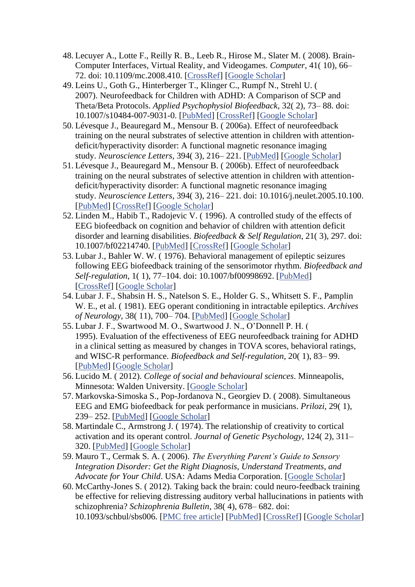- 48. Lecuyer A., Lotte F., Reilly R. B., Leeb R., Hirose M., Slater M. ( 2008). Brain-Computer Interfaces, Virtual Reality, and Videogames. *Computer*, 41( 10), 66– 72. doi: 10.1109/mc.2008.410. [\[CrossRef\]](https://dx.doi.org/10.1109%2Fmc.2008.410) [\[Google Scholar\]](https://scholar.google.com/scholar_lookup?journal=Computer&title=Brain-Computer+Interfaces,+Virtual+Reality,+and+Videogames&author=A.+Lecuyer&author=F.+Lotte&author=R.+B.+Reilly&author=R.+Leeb&author=M.+Hirose&volume=41&issue=10&publication_year=2008&pages=66-72&doi=10.1109/mc.2008.410&)
- 49. Leins U., Goth G., Hinterberger T., Klinger C., Rumpf N., Strehl U. ( 2007). Neurofeedback for Children with ADHD: A Comparison of SCP and Theta/Beta Protocols. *Applied Psychophysiol Biofeedback*, 32( 2), 73– 88. doi: 10.1007/s10484-007-9031-0. [\[PubMed\]](https://www.ncbi.nlm.nih.gov/pubmed/17356905) [\[CrossRef\]](https://dx.doi.org/10.1007%2Fs10484-007-9031-0) [\[Google Scholar\]](https://scholar.google.com/scholar_lookup?journal=Applied+Psychophysiol+Biofeedback&title=Neurofeedback+for+Children+with+ADHD:+A+Comparison+of+SCP+and+Theta/Beta+Protocols&author=U.+Leins&author=G.+Goth&author=T.+Hinterberger&author=C.+Klinger&author=N.+Rumpf&volume=32&issue=2&publication_year=2007&pages=73-88&doi=10.1007/s10484-007-9031-0&)
- 50. Lévesque J., Beauregard M., Mensour B. ( 2006a). Effect of neurofeedback training on the neural substrates of selective attention in children with attentiondeficit/hyperactivity disorder: A functional magnetic resonance imaging study. *Neuroscience Letters*, 394( 3), 216– 221. [\[PubMed\]](https://www.ncbi.nlm.nih.gov/pubmed/16343769) [\[Google Scholar\]](https://scholar.google.com/scholar_lookup?journal=Neuroscience+Letters&title=Effect+of+neurofeedback+training+on+the+neural+substrates+of+selective+attention+in+children+with+attention-deficit/hyperactivity+disorder:+A+functional+magnetic+resonance+imaging+study&author=J.+L%C3%A9vesque&author=M.+Beauregard&author=B.+Mensour&volume=394&issue=3&publication_year=2006a&pages=216-221&pmid=16343769&)
- 51. Lévesque J., Beauregard M., Mensour B. ( 2006b). Effect of neurofeedback training on the neural substrates of selective attention in children with attentiondeficit/hyperactivity disorder: A functional magnetic resonance imaging study. *Neuroscience Letters*, 394( 3), 216– 221. doi: 10.1016/j.neulet.2005.10.100. [\[PubMed\]](https://www.ncbi.nlm.nih.gov/pubmed/16343769) [\[CrossRef\]](https://dx.doi.org/10.1016%2Fj.neulet.2005.10.100) [\[Google Scholar\]](https://scholar.google.com/scholar_lookup?journal=Neuroscience+Letters&title=Effect+of+neurofeedback+training+on+the+neural+substrates+of+selective+attention+in+children+with+attention-deficit/hyperactivity+disorder:+A+functional+magnetic+resonance+imaging+study&author=J.+L%C3%A9vesque&author=M.+Beauregard&author=B.+Mensour&volume=394&issue=3&publication_year=2006b&pages=216-221&pmid=16343769&doi=10.1016/j.neulet.2005.10.100&)
- 52. Linden M., Habib T., Radojevic V. ( 1996). A controlled study of the effects of EEG biofeedback on cognition and behavior of children with attention deficit disorder and learning disabilities. *Biofeedback & Self Regulation*, 21( 3), 297. doi: 10.1007/bf02214740. [\[PubMed\]](https://www.ncbi.nlm.nih.gov/pubmed/8833315) [\[CrossRef\]](https://dx.doi.org/10.1007%2Fbf02214740) [\[Google Scholar\]](https://scholar.google.com/scholar_lookup?journal=Biofeedback+&+Self+Regulation&title=A+controlled+study+of+the+effects+of+EEG+biofeedback+on+cognition+and+behavior+of+children+with+attention+deficit+disorder+and+learning+disabilities&author=M.+Linden&author=T.+Habib&author=V.+Radojevic&volume=21&issue=3&publication_year=1996&pages=297&doi=10.1007/bf02214740&)
- 53. Lubar J., Bahler W. W. ( 1976). Behavioral management of epileptic seizures following EEG biofeedback training of the sensorimotor rhythm. *Biofeedback and Self-regulation*, 1( 1), 77–104. doi: 10.1007/bf00998692. [\[PubMed\]](https://www.ncbi.nlm.nih.gov/pubmed/825150) [\[CrossRef\]](https://dx.doi.org/10.1007%2Fbf00998692) [\[Google Scholar\]](https://scholar.google.com/scholar_lookup?journal=Biofeedback+and+Self-regulation&title=Behavioral+management+of+epileptic+seizures+following+EEG+biofeedback+training+of+the+sensorimotor+rhythm&author=J.+Lubar&author=W.+W.+Bahler&volume=1&issue=1&publication_year=1976&pages=77-104&pmid=825150&doi=10.1007/bf00998692&)
- 54. Lubar J. F., Shabsin H. S., Natelson S. E., Holder G. S., Whitsett S. F., Pamplin W. E., et al. ( 1981). EEG operant conditioning in intractable epileptics. *Archives of Neurology*, 38( 11), 700– 704. [\[PubMed\]](https://www.ncbi.nlm.nih.gov/pubmed/7305698) [\[Google Scholar\]](https://scholar.google.com/scholar_lookup?journal=Archives+of+Neurology&title=EEG+operant+conditioning+in+intractable+epileptics&author=J.+F.+Lubar&author=H.+S.+Shabsin&author=S.+E.+Natelson&author=G.+S.+Holder&author=S.+F.+Whitsett&volume=38&issue=11&publication_year=1981&pages=700-704&pmid=7305698&)
- 55. Lubar J. F., Swartwood M. O., Swartwood J. N., O'Donnell P. H. ( 1995). Evaluation of the effectiveness of EEG neurofeedback training for ADHD in a clinical setting as measured by changes in TOVA scores, behavioral ratings, and WISC-R performance. *Biofeedback and Self-regulation*, 20( 1), 83– 99. [\[PubMed\]](https://www.ncbi.nlm.nih.gov/pubmed/7786929) [\[Google Scholar\]](https://scholar.google.com/scholar_lookup?journal=Biofeedback+and+Self-regulation&title=Evaluation+of+the+effectiveness+of+EEG+neurofeedback+training+for+ADHD+in+a+clinical+setting+as+measured+by+changes+in+TOVA+scores,+behavioral+ratings,+and+WISC-R+performance&author=J.+F.+Lubar&author=M.+O.+Swartwood&author=J.+N.+Swartwood&author=P.+H.+O%E2%80%99Donnell&volume=20&issue=1&publication_year=1995&pages=83-99&pmid=7786929&)
- 56. Lucido M. ( 2012). *College of social and behavioural sciences*. Minneapolis, Minnesota: Walden University. [\[Google Scholar\]](https://scholar.google.com/scholar_lookup?title=College+of+social+and+behavioural+sciences&author=M.+Lucido&publication_year=2012&)
- 57. Markovska-Simoska S., Pop-Jordanova N., Georgiev D. ( 2008). Simultaneous EEG and EMG biofeedback for peak performance in musicians. *Prilozi*, 29( 1), 239– 252. [\[PubMed\]](https://www.ncbi.nlm.nih.gov/pubmed/18709013) [\[Google Scholar\]](https://scholar.google.com/scholar_lookup?journal=Prilozi&title=Simultaneous+EEG+and+EMG+biofeedback+for+peak+performance+in+musicians&author=S.+Markovska-Simoska&author=N.+Pop-Jordanova&author=D.+Georgiev&volume=29&issue=1&publication_year=2008&pages=239-252&pmid=18709013&)
- 58. Martindale C., Armstrong J. ( 1974). The relationship of creativity to cortical activation and its operant control. *Journal of Genetic Psychology*, 124( 2), 311– 320. [\[PubMed\]](https://www.ncbi.nlm.nih.gov/pubmed/4842281) [\[Google Scholar\]](https://scholar.google.com/scholar_lookup?journal=Journal+of+Genetic+Psychology&title=The+relationship+of+creativity+to+cortical+activation+and+its+operant+control&author=C.+Martindale&author=J.+Armstrong&volume=124&issue=2&publication_year=1974&pages=311-320&pmid=4842281&)
- 59. Mauro T., Cermak S. A. ( 2006). *The Everything Parent's Guide to Sensory Integration Disorder: Get the Right Diagnosis, Understand Treatments, and Advocate for Your Child*. USA: Adams Media Corporation. [\[Google Scholar\]](https://scholar.google.com/scholar_lookup?title=The+Everything+Parent%E2%80%99s+Guide+to+Sensory+Integration+Disorder:+Get+the+Right+Diagnosis,+Understand+Treatments,+and+Advocate+for+Your+Child&author=T.+Mauro&author=S.+A.+Cermak&publication_year=2006&)
- 60. McCarthy-Jones S. ( 2012). Taking back the brain: could neuro-feedback training be effective for relieving distressing auditory verbal hallucinations in patients with schizophrenia? *Schizophrenia Bulletin*, 38( 4), 678– 682. doi: 10.1093/schbul/sbs006. [\[PMC free article\]](https://www.ncbi.nlm.nih.gov/pmc/articles/PMC3406539/) [\[PubMed\]](https://www.ncbi.nlm.nih.gov/pubmed/22323675) [\[CrossRef\]](https://dx.doi.org/10.1093%2Fschbul%2Fsbs006) [\[Google Scholar\]](https://scholar.google.com/scholar_lookup?journal=Schizophrenia+Bulletin&title=Taking+back+the+brain:+could+neuro-feedback+training+be+effective+for+relieving+distressing+auditory+verbal+hallucinations+in+patients+with+schizophrenia?&author=S.+McCarthy-Jones&volume=38&issue=4&publication_year=2012&pages=678-682&pmid=22323675&doi=10.1093/schbul/sbs006&)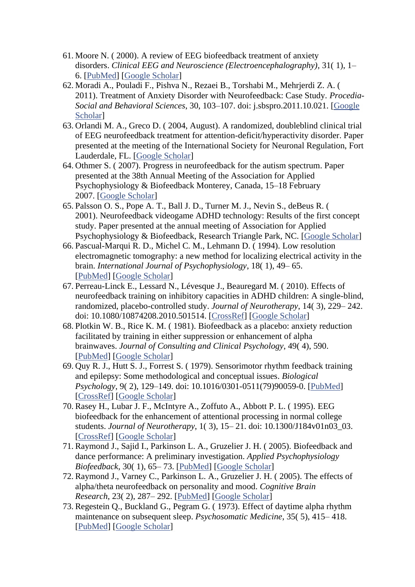- 61. Moore N. ( 2000). A review of EEG biofeedback treatment of anxiety disorders. *Clinical EEG and Neuroscience (Electroencephalography)*, 31( 1), 1– 6. [\[PubMed\]](https://www.ncbi.nlm.nih.gov/pubmed/10638346) [\[Google Scholar\]](https://scholar.google.com/scholar_lookup?journal=Clinical+EEG+and+Neuroscience+(Electroencephalography)&title=A+review+of+EEG+biofeedback+treatment+of+anxiety+disorders&author=N.+Moore&volume=31&issue=1&publication_year=2000&pages=1-6&)
- 62. Moradi A., Pouladi F., Pishva N., Rezaei B., Torshabi M., Mehrjerdi Z. A. ( 2011). Treatment of Anxiety Disorder with Neurofeedback: Case Study. *Procedia-Social and Behavioral Sciences*, 30, 103–107. doi: j.sbspro.2011.10.021. [\[Google](https://scholar.google.com/scholar_lookup?journal=Procedia-Social+and+Behavioral+Sciences&title=Treatment+of+Anxiety+Disorder+with+Neurofeedback:+Case+Study&author=A.+Moradi&author=F.+Pouladi&author=N.+Pishva&author=B.+Rezaei&author=M.+Torshabi&volume=30&publication_year=2011&pages=103-107&)  [Scholar\]](https://scholar.google.com/scholar_lookup?journal=Procedia-Social+and+Behavioral+Sciences&title=Treatment+of+Anxiety+Disorder+with+Neurofeedback:+Case+Study&author=A.+Moradi&author=F.+Pouladi&author=N.+Pishva&author=B.+Rezaei&author=M.+Torshabi&volume=30&publication_year=2011&pages=103-107&)
- 63. Orlandi M. A., Greco D. ( 2004, August). A randomized, doubleblind clinical trial of EEG neurofeedback treatment for attention-deficit/hyperactivity disorder. Paper presented at the meeting of the International Society for Neuronal Regulation, Fort Lauderdale, FL. [\[Google Scholar\]](https://scholar.google.com/scholar?q=+Orlandi+M.+A.+Greco+D.++(+2004+,++8+).++A+randomized,+doubleblind+clinical+trial+of+EEG+neurofeedback+treatment+for+attention-deficit/hyperactivity+disorder+.++Paper+presented+at+the+meeting+of+the+International+Society+for+Neuronal+Regulation+,++Fort+Lauderdale,+FL+.+)
- 64. Othmer S. ( 2007). Progress in neurofeedback for the autism spectrum. Paper presented at the 38th Annual Meeting of the Association for Applied Psychophysiology & Biofeedback Monterey, Canada, 15–18 February 2007. [\[Google Scholar\]](https://scholar.google.com/scholar?q=+Othmer+S.++(+2007+).++Progress+in+neurofeedback+for+the+autism+spectrum+.++Paper+presented+at+the+38th+Annual+Meeting+of+the+Association+for+Applied+Psychophysiology+&+Biofeedback++Monterey,+Canada+,++15%E2%80%9318+February+2007+.+)
- 65. Palsson O. S., Pope A. T., Ball J. D., Turner M. J., Nevin S., deBeus R. ( 2001). Neurofeedback videogame ADHD technology: Results of the first concept study. Paper presented at the annual meeting of Association for Applied Psychophysiology & Biofeedback, Research Triangle Park, NC. [\[Google Scholar\]](https://scholar.google.com/scholar?q=+Palsson+O.+S.+Pope+A.+T.+Ball+J.+D.+Turner+M.+J.+Nevin+S.+deBeus+R.++(+2001+).++Neurofeedback+videogame+ADHD+technology:+Results+of+the+first+concept+study+.++Paper+presented+at+the+annual+meeting+of+Association+for+Applied+Psychophysiology+&+Biofeedback+,++Research+Triangle+Park,+NC+.+)
- 66. Pascual-Marqui R. D., Michel C. M., Lehmann D. ( 1994). Low resolution electromagnetic tomography: a new method for localizing electrical activity in the brain. *International Journal of Psychophysiology*, 18( 1), 49– 65. [\[PubMed\]](https://www.ncbi.nlm.nih.gov/pubmed/7876038) [\[Google Scholar\]](https://scholar.google.com/scholar_lookup?journal=International+Journal+of+Psychophysiology&title=Low+resolution+electromagnetic+tomography:+a+new+method+for+localizing+electrical+activity+in+the+brain&author=R.+D.+Pascual-Marqui&author=C.+M.+Michel&author=D.+Lehmann&volume=18&issue=1&publication_year=1994&pages=49-65&pmid=7876038&)
- 67. Perreau-Linck E., Lessard N., Lévesque J., Beauregard M. ( 2010). Effects of neurofeedback training on inhibitory capacities in ADHD children: A single-blind, randomized, placebo-controlled study. *Journal of Neurotherapy*, 14( 3), 229– 242. doi: 10.1080/10874208.2010.501514. [\[CrossRef\]](https://dx.doi.org/10.1080%2F10874208.2010.501514) [\[Google Scholar\]](https://scholar.google.com/scholar_lookup?journal=Journal+of+Neurotherapy&title=Effects+of+neurofeedback+training+on+inhibitory+capacities+in+ADHD+children:+A+single-blind,+randomized,+placebo-controlled+study&author=E.+Perreau-Linck&author=N.+Lessard&author=J.+L%C3%A9vesque&author=M.+Beauregard&volume=14&issue=3&publication_year=2010&pages=229-242&doi=10.1080/10874208.2010.501514&)
- 68. Plotkin W. B., Rice K. M. ( 1981). Biofeedback as a placebo: anxiety reduction facilitated by training in either suppression or enhancement of alpha brainwaves. *Journal of Consulting and Clinical Psychology*, 49( 4), 590. [\[PubMed\]](https://www.ncbi.nlm.nih.gov/pubmed/7264040) [\[Google Scholar\]](https://scholar.google.com/scholar_lookup?journal=Journal+of+Consulting+and+Clinical+Psychology&title=Biofeedback+as+a+placebo:+anxiety+reduction+facilitated+by+training+in+either+suppression+or+enhancement+of+alpha+brainwaves&author=W.+B.+Plotkin&author=K.+M.+Rice&volume=49&issue=4&publication_year=1981&pages=590&pmid=7264040&)
- 69. Quy R. J., Hutt S. J., Forrest S. ( 1979). Sensorimotor rhythm feedback training and epilepsy: Some methodological and conceptual issues. *Biological Psychology*, 9( 2), 129–149. doi: 10.1016/0301-0511(79)90059-0. [\[PubMed\]](https://www.ncbi.nlm.nih.gov/pubmed/540111) [\[CrossRef\]](https://dx.doi.org/10.1016%2F0301-0511(79)90059-0) [\[Google Scholar\]](https://scholar.google.com/scholar_lookup?journal=Biological+Psychology&title=Sensorimotor+rhythm+feedback+training+and+epilepsy:+Some+methodological+and+conceptual+issues&author=R.+J.+Quy&author=S.+J.+Hutt&author=S.+Forrest&volume=9&issue=2&publication_year=1979&pages=129-149&pmid=540111&doi=10.1016/0301-0511(79)90059-0&)
- 70. Rasey H., Lubar J. F., McIntyre A., Zoffuto A., Abbott P. L. ( 1995). EEG biofeedback for the enhancement of attentional processing in normal college students. *Journal of Neurotherapy*, 1( 3), 15– 21. doi: 10.1300/J184v01n03\_03. [\[CrossRef\]](https://dx.doi.org/10.1300%2FJ184v01n03_03) [\[Google Scholar\]](https://scholar.google.com/scholar_lookup?journal=Journal+of+Neurotherapy&title=EEG+biofeedback+for+the+enhancement+of+attentional+processing+in+normal+college+students&author=H.+Rasey&author=J.+F.+Lubar&author=A.+McIntyre&author=A.+Zoffuto&author=P.+L.+Abbott&volume=1&issue=3&publication_year=1995&pages=15-21&doi=10.1300/J184v01n03_03&)
- 71. Raymond J., Sajid I., Parkinson L. A., Gruzelier J. H. ( 2005). Biofeedback and dance performance: A preliminary investigation. *Applied Psychophysiology Biofeedback*, 30( 1), 65– 73. [\[PubMed\]](https://www.ncbi.nlm.nih.gov/pubmed/15889586) [\[Google Scholar\]](https://scholar.google.com/scholar_lookup?journal=Applied+Psychophysiology+Biofeedback&title=Biofeedback+and+dance+performance:+A+preliminary+investigation&author=J.+Raymond&author=I.+Sajid&author=L.+A.+Parkinson&author=J.+H.+Gruzelier&volume=30&issue=1&publication_year=2005&pages=65-73&)
- 72. Raymond J., Varney C., Parkinson L. A., Gruzelier J. H. ( 2005). The effects of alpha/theta neurofeedback on personality and mood. *Cognitive Brain Research*, 23( 2), 287– 292. [\[PubMed\]](https://www.ncbi.nlm.nih.gov/pubmed/15820636) [\[Google Scholar\]](https://scholar.google.com/scholar_lookup?journal=Cognitive+Brain+Research&title=The+effects+of+alpha/theta+neurofeedback+on+personality+and+mood&author=J.+Raymond&author=C.+Varney&author=L.+A.+Parkinson&author=J.+H.+Gruzelier&volume=23&issue=2&publication_year=2005&pages=287-292&pmid=15820636&)
- 73. Regestein Q., Buckland G., Pegram G. ( 1973). Effect of daytime alpha rhythm maintenance on subsequent sleep. *Psychosomatic Medicine*, 35( 5), 415– 418. [\[PubMed\]](https://www.ncbi.nlm.nih.gov/pubmed/4372648) [\[Google Scholar\]](https://scholar.google.com/scholar_lookup?journal=Psychosomatic+Medicine&title=Effect+of+daytime+alpha+rhythm+maintenance+on+subsequent+sleep&author=Q.+Regestein&author=G.+Buckland&author=G.+Pegram&volume=35&issue=5&publication_year=1973&pages=415-418&pmid=4372648&)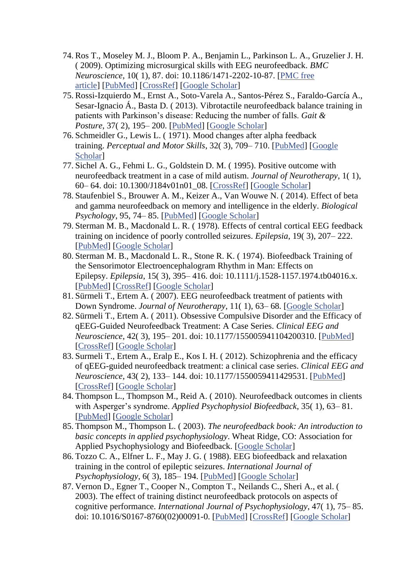- 74. Ros T., Moseley M. J., Bloom P. A., Benjamin L., Parkinson L. A., Gruzelier J. H. ( 2009). Optimizing microsurgical skills with EEG neurofeedback. *BMC Neuroscience*, 10( 1), 87. doi: 10.1186/1471-2202-10-87. [\[PMC free](https://www.ncbi.nlm.nih.gov/pmc/articles/PMC2723116/)  [article\]](https://www.ncbi.nlm.nih.gov/pmc/articles/PMC2723116/) [\[PubMed\]](https://www.ncbi.nlm.nih.gov/pubmed/19630948) [\[CrossRef\]](https://dx.doi.org/10.1186%2F1471-2202-10-87) [\[Google Scholar\]](https://scholar.google.com/scholar_lookup?journal=BMC+Neuroscience&title=Optimizing+microsurgical+skills+with+EEG+neurofeedback&author=T.+Ros&author=M.+J.+Moseley&author=P.+A.+Bloom&author=L.+Benjamin&author=L.+A.+Parkinson&volume=10&issue=1&publication_year=2009&pages=87&pmid=19630948&doi=10.1186/1471-2202-10-87&)
- 75. Rossi-Izquierdo M., Ernst A., Soto-Varela A., Santos-Pérez S., Faraldo-García A., Sesar-Ignacio Á., Basta D. ( 2013). Vibrotactile neurofeedback balance training in patients with Parkinson's disease: Reducing the number of falls. *Gait & Posture*, 37( 2), 195– 200. [\[PubMed\]](https://www.ncbi.nlm.nih.gov/pubmed/22841586) [\[Google Scholar\]](https://scholar.google.com/scholar_lookup?journal=Gait+&+Posture&title=Vibrotactile+neurofeedback+balance+training+in+patients+with+Parkinson%E2%80%99s+disease:+Reducing+the+number+of+falls&author=M.+Rossi-Izquierdo&author=A.+Ernst&author=A.+Soto-Varela&author=S.+Santos-P%C3%A9rez&author=A.+Faraldo-Garc%C3%ADa&volume=37&issue=2&publication_year=2013&pages=195-200&pmid=22841586&)
- 76. Schmeidler G., Lewis L. ( 1971). Mood changes after alpha feedback training. *Perceptual and Motor Skills*, 32( 3), 709– 710. [\[PubMed\]](https://www.ncbi.nlm.nih.gov/pubmed/5557008) [\[Google](https://scholar.google.com/scholar_lookup?journal=Perceptual+and+Motor+Skills&title=Mood+changes+after+alpha+feedback+training&author=G.+Schmeidler&author=L.+Lewis&volume=32&issue=3&publication_year=1971&pages=709-710&pmid=5557008&)  [Scholar\]](https://scholar.google.com/scholar_lookup?journal=Perceptual+and+Motor+Skills&title=Mood+changes+after+alpha+feedback+training&author=G.+Schmeidler&author=L.+Lewis&volume=32&issue=3&publication_year=1971&pages=709-710&pmid=5557008&)
- 77. Sichel A. G., Fehmi L. G., Goldstein D. M. ( 1995). Positive outcome with neurofeedback treatment in a case of mild autism. *Journal of Neurotherapy*, 1( 1), 60– 64. doi: 10.1300/J184v01n01\_08. [\[CrossRef\]](https://dx.doi.org/10.1300%2FJ184v01n01_08) [\[Google Scholar\]](https://scholar.google.com/scholar_lookup?journal=Journal+of+Neurotherapy&title=Positive+outcome+with+neurofeedback+treatment+in+a+case+of+mild+autism&author=A.+G.+Sichel&author=L.+G.+Fehmi&author=D.+M.+Goldstein&volume=1&issue=1&publication_year=1995&pages=60-64&doi=10.1300/J184v01n01_08&)
- 78. Staufenbiel S., Brouwer A. M., Keizer A., Van Wouwe N. ( 2014). Effect of beta and gamma neurofeedback on memory and intelligence in the elderly. *Biological Psychology*, 95, 74– 85. [\[PubMed\]](https://www.ncbi.nlm.nih.gov/pubmed/23751914) [\[Google Scholar\]](https://scholar.google.com/scholar_lookup?journal=Biological+Psychology&title=Effect+of+beta+and+gamma+neurofeedback+on+memory+and+intelligence+in+the+elderly&author=S.+Staufenbiel&author=A.+M.+Brouwer&author=A.+Keizer&author=N.+Van+Wouwe&volume=95&publication_year=2014&pages=74-85&pmid=23751914&)
- 79. Sterman M. B., Macdonald L. R. ( 1978). Effects of central cortical EEG feedback training on incidence of poorly controlled seizures. *Epilepsia*, 19( 3), 207– 222. [\[PubMed\]](https://www.ncbi.nlm.nih.gov/pubmed/354919) [\[Google Scholar\]](https://scholar.google.com/scholar_lookup?journal=Epilepsia&title=Effects+of+central+cortical+EEG+feedback+training+on+incidence+of+poorly+controlled+seizures&author=M.+B.+Sterman&author=L.+R.+Macdonald&volume=19&issue=3&publication_year=1978&pages=207-222&pmid=354919&)
- 80. Sterman M. B., Macdonald L. R., Stone R. K. ( 1974). Biofeedback Training of the Sensorimotor Electroencephalogram Rhythm in Man: Effects on Epilepsy. *Epilepsia*, 15( 3), 395– 416. doi: 10.1111/j.1528-1157.1974.tb04016.x. [\[PubMed\]](https://www.ncbi.nlm.nih.gov/pubmed/4527675) [\[CrossRef\]](https://dx.doi.org/10.1111%2Fj.1528-1157.1974.tb04016.x) [\[Google Scholar\]](https://scholar.google.com/scholar_lookup?journal=Epilepsia&title=Biofeedback+Training+of+the+Sensorimotor+Electroencephalogram+Rhythm+in+Man:+Effects+on+Epilepsy&author=M.+B.+Sterman&author=L.+R.+Macdonald&author=R.+K.+Stone&volume=15&issue=3&publication_year=1974&pages=395-416&pmid=4527675&doi=10.1111/j.1528-1157.1974.tb04016.x&)
- 81. Sürmeli T., Ertem A. ( 2007). EEG neurofeedback treatment of patients with Down Syndrome. *Journal of Neurotherapy*, 11(1), 63-68. [\[Google Scholar\]](https://scholar.google.com/scholar_lookup?journal=Journal+of+Neurotherapy&title=EEG+neurofeedback+treatment+of+patients+with+Down+Syndrome&author=T.+S%C3%BCrmeli&author=A.+Ertem&volume=11&issue=1&publication_year=2007&pages=63-68&)
- 82. Sürmeli T., Ertem A. ( 2011). Obsessive Compulsive Disorder and the Efficacy of qEEG-Guided Neurofeedback Treatment: A Case Series. *Clinical EEG and Neuroscience*, 42( 3), 195– 201. doi: 10.1177/155005941104200310. [\[PubMed\]](https://www.ncbi.nlm.nih.gov/pubmed/21870473) [\[CrossRef\]](https://dx.doi.org/10.1177%2F155005941104200310) [\[Google Scholar\]](https://scholar.google.com/scholar_lookup?journal=Clinical+EEG+and+Neuroscience&title=Obsessive+Compulsive+Disorder+and+the+Efficacy+of+qEEG-Guided+Neurofeedback+Treatment:+A+Case+Series&author=T.+S%C3%BCrmeli&author=A.+Ertem&volume=42&issue=3&publication_year=2011&pages=195-201&pmid=21870473&doi=10.1177/155005941104200310&)
- 83. Surmeli T., Ertem A., Eralp E., Kos I. H. ( 2012). Schizophrenia and the efficacy of qEEG-guided neurofeedback treatment: a clinical case series. *Clinical EEG and Neuroscience*, 43( 2), 133– 144. doi: 10.1177/1550059411429531. [\[PubMed\]](https://www.ncbi.nlm.nih.gov/pubmed/22715481) [\[CrossRef\]](https://dx.doi.org/10.1177%2F1550059411429531) [\[Google Scholar\]](https://scholar.google.com/scholar_lookup?journal=Clinical+EEG+and+Neuroscience&title=Schizophrenia+and+the+efficacy+of+qEEG-guided+neurofeedback+treatment:+a+clinical+case+series&author=T.+Surmeli&author=A.+Ertem&author=E.+Eralp&author=I.+H.+Kos&volume=43&issue=2&publication_year=2012&pages=133-144&pmid=22715481&doi=10.1177/1550059411429531&)
- 84. Thompson L., Thompson M., Reid A. ( 2010). Neurofeedback outcomes in clients with Asperger's syndrome. *Applied Psychophysiol Biofeedback*, 35( 1), 63– 81. [\[PubMed\]](https://www.ncbi.nlm.nih.gov/pubmed/19908142) [\[Google Scholar\]](https://scholar.google.com/scholar_lookup?journal=Applied+Psychophysiol+Biofeedback&title=Neurofeedback+outcomes+in+clients+with+Asperger%E2%80%99s+syndrome&author=L.+Thompson&author=M.+Thompson&author=A.+Reid&volume=35&issue=1&publication_year=2010&pages=63-81&)
- 85. Thompson M., Thompson L. ( 2003). *The neurofeedback book: An introduction to basic concepts in applied psychophysiology*. Wheat Ridge, CO: Association for Applied Psychophysiology and Biofeedback. [\[Google Scholar\]](https://scholar.google.com/scholar_lookup?title=The+neurofeedback+book:+An+introduction+to+basic+concepts+in+applied+psychophysiology&author=M.+Thompson&author=L.+Thompson&publication_year=2003&)
- 86. Tozzo C. A., Elfner L. F., May J. G. ( 1988). EEG biofeedback and relaxation training in the control of epileptic seizures. *International Journal of Psychophysiology*, 6( 3), 185– 194. [\[PubMed\]](https://www.ncbi.nlm.nih.gov/pubmed/3136105) [\[Google Scholar\]](https://scholar.google.com/scholar_lookup?journal=International+Journal+of+Psychophysiology&title=EEG+biofeedback+and+relaxation+training+in+the+control+of+epileptic+seizures&author=C.+A.+Tozzo&author=L.+F.+Elfner&author=J.+G.+May&volume=6&issue=3&publication_year=1988&pages=185-194&pmid=3136105&)
- 87. Vernon D., Egner T., Cooper N., Compton T., Neilands C., Sheri A., et al. ( 2003). The effect of training distinct neurofeedback protocols on aspects of cognitive performance. *International Journal of Psychophysiology*, 47( 1), 75– 85. doi: 10.1016/S0167-8760(02)00091-0. [\[PubMed\]](https://www.ncbi.nlm.nih.gov/pubmed/12543448) [\[CrossRef\]](https://dx.doi.org/10.1016%2FS0167-8760(02)00091-0) [\[Google Scholar\]](https://scholar.google.com/scholar_lookup?journal=International+Journal+of+Psychophysiology&title=The+effect+of+training+distinct+neurofeedback+protocols+on+aspects+of+cognitive+performance&author=D.+Vernon&author=T.+Egner&author=N.+Cooper&author=T.+Compton&author=C.+Neilands&volume=47&issue=1&publication_year=2003&pages=75-85&pmid=12543448&doi=10.1016/S0167-8760(02)00091-0&)